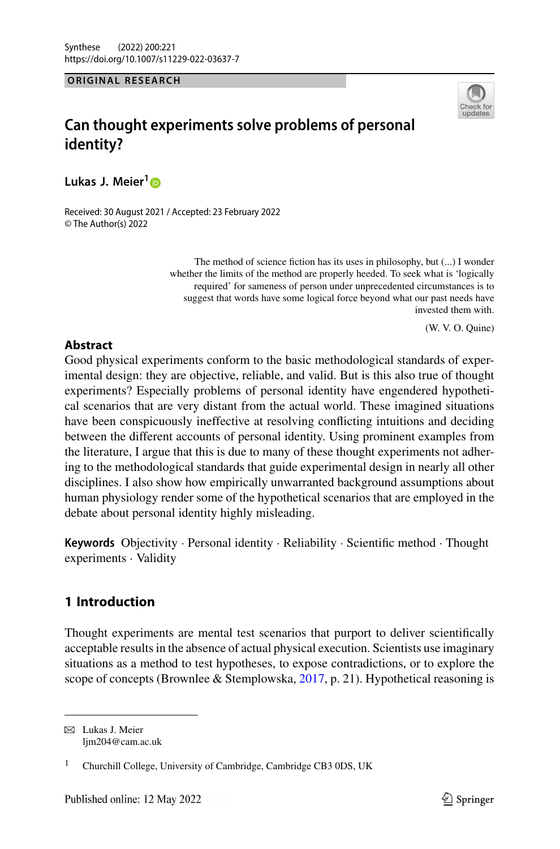#### **ORIGINAL RESEARCH**



# **Can thought experiments solve problems of personal identity?**

**Lukas J. Meier[1](http://orcid.org/0000-0002-3316-3928)**

Received: 30 August 2021 / Accepted: 23 February 2022 © The Author(s) 2022

> The method of science fiction has its uses in philosophy, but (...) I wonder whether the limits of the method are properly heeded. To seek what is 'logically required' for sameness of person under unprecedented circumstances is to suggest that words have some logical force beyond what our past needs have invested them with.

> > (W. V. O. Quine)

## **Abstract**

Good physical experiments conform to the basic methodological standards of experimental design: they are objective, reliable, and valid. But is this also true of thought experiments? Especially problems of personal identity have engendered hypothetical scenarios that are very distant from the actual world. These imagined situations have been conspicuously ineffective at resolving conflicting intuitions and deciding between the different accounts of personal identity. Using prominent examples from the literature, I argue that this is due to many of these thought experiments not adhering to the methodological standards that guide experimental design in nearly all other disciplines. I also show how empirically unwarranted background assumptions about human physiology render some of the hypothetical scenarios that are employed in the debate about personal identity highly misleading.

**Keywords** Objectivity · Personal identity · Reliability · Scientific method · Thought experiments · Validity

## **1 Introduction**

Thought experiments are mental test scenarios that purport to deliver scientifically acceptable results in the absence of actual physical execution. Scientists use imaginary situations as a method to test hypotheses, to expose contradictions, or to explore the scope of concepts (Brownlee & Stemplowska, [2017,](#page-18-0) p. 21). Hypothetical reasoning is

 $\boxtimes$  Lukas J. Meier lim204@cam.ac.uk

<sup>&</sup>lt;sup>1</sup> Churchill College, University of Cambridge, Cambridge CB3 0DS, UK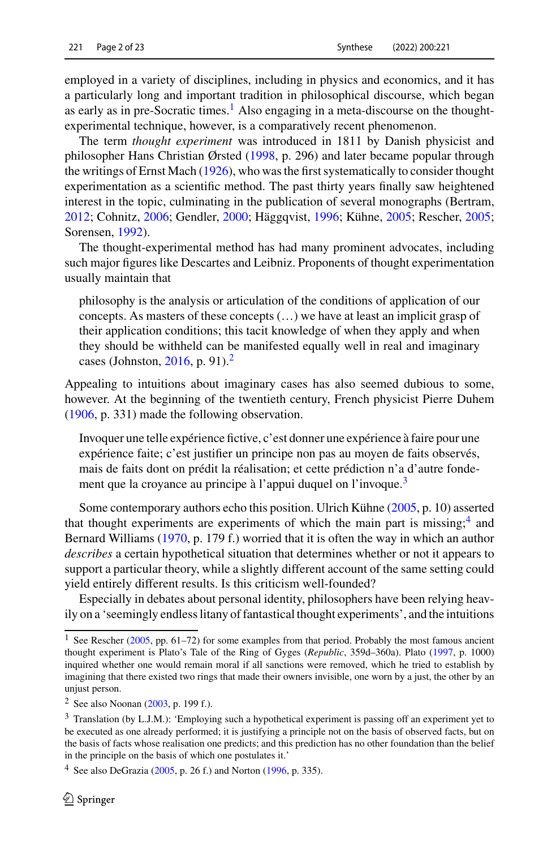employed in a variety of disciplines, including in physics and economics, and it has a particularly long and important tradition in philosophical discourse, which began as early as in pre-Socratic times.<sup>[1](#page-1-0)</sup> Also engaging in a meta-discourse on the thoughtexperimental technique, however, is a comparatively recent phenomenon.

The term *thought experiment* was introduced in 1811 by Danish physicist and philosopher Hans Christian Ørsted [\(1998,](#page-20-0) p. 296) and later became popular through the writings of Ernst Mach [\(1926\)](#page-20-1), who was the first systematically to consider thought experimentation as a scientific method. The past thirty years finally saw heightened interest in the topic, culminating in the publication of several monographs (Bertram, [2012;](#page-18-1) Cohnitz, [2006;](#page-19-0) Gendler, [2000;](#page-19-1) Häggqvist, [1996;](#page-19-2) Kühne, [2005;](#page-19-3) Rescher, [2005;](#page-20-2) Sorensen, [1992\)](#page-21-0).

The thought-experimental method has had many prominent advocates, including such major figures like Descartes and Leibniz. Proponents of thought experimentation usually maintain that

philosophy is the analysis or articulation of the conditions of application of our concepts. As masters of these concepts (…) we have at least an implicit grasp of their application conditions; this tacit knowledge of when they apply and when they should be withheld can be manifested equally well in real and imaginary cases (Johnston, [2016,](#page-19-4) p. 91). $^2$ 

Appealing to intuitions about imaginary cases has also seemed dubious to some, however. At the beginning of the twentieth century, French physicist Pierre Duhem [\(1906,](#page-19-5) p. 331) made the following observation.

Invoquer une telle expérience fictive, c'est donner une expérience à faire pour une expérience faite; c'est justifier un principe non pas au moyen de faits observés, mais de faits dont on prédit la réalisation; et cette prédiction n'a d'autre fonde-ment que la croyance au principe à l'appui duquel on l'invoque.<sup>[3](#page-1-2)</sup>

Some contemporary authors echo this position. Ulrich Kühne [\(2005,](#page-19-3) p. 10) asserted that thought experiments are experiments of which the main part is missing; $4$  and Bernard Williams [\(1970,](#page-21-1) p. 179 f.) worried that it is often the way in which an author *describes* a certain hypothetical situation that determines whether or not it appears to support a particular theory, while a slightly different account of the same setting could yield entirely different results. Is this criticism well-founded?

Especially in debates about personal identity, philosophers have been relying heavily on a 'seemingly endless litany of fantastical thought experiments', and the intuitions

<span id="page-1-0"></span><sup>&</sup>lt;sup>1</sup> See Rescher [\(2005,](#page-20-2) pp. 61–72) for some examples from that period. Probably the most famous ancient thought experiment is Plato's Tale of the Ring of Gyges (*Republic*, 359d–360a). Plato [\(1997,](#page-20-3) p. 1000) inquired whether one would remain moral if all sanctions were removed, which he tried to establish by imagining that there existed two rings that made their owners invisible, one worn by a just, the other by an unjust person.

<span id="page-1-2"></span><span id="page-1-1"></span><sup>&</sup>lt;sup>2</sup> See also Noonan [\(2003,](#page-20-4) p. 199 f.).

<sup>&</sup>lt;sup>3</sup> Translation (by L.J.M.): 'Employing such a hypothetical experiment is passing off an experiment yet to be executed as one already performed; it is justifying a principle not on the basis of observed facts, but on the basis of facts whose realisation one predicts; and this prediction has no other foundation than the belief in the principle on the basis of which one postulates it.'

<span id="page-1-3"></span><sup>&</sup>lt;sup>4</sup> See also DeGrazia [\(2005,](#page-19-6) p. 26 f.) and Norton [\(1996,](#page-20-5) p. 335).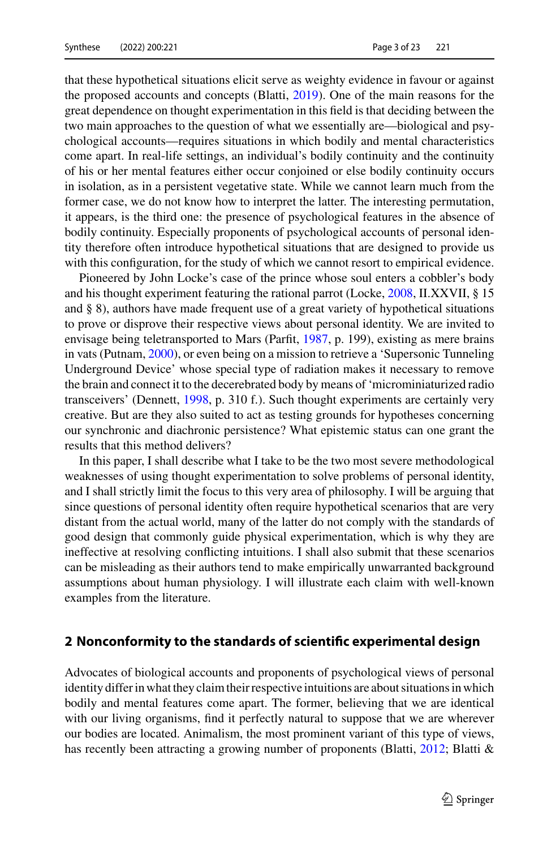that these hypothetical situations elicit serve as weighty evidence in favour or against the proposed accounts and concepts (Blatti, [2019\)](#page-18-2). One of the main reasons for the great dependence on thought experimentation in this field is that deciding between the two main approaches to the question of what we essentially are—biological and psychological accounts—requires situations in which bodily and mental characteristics come apart. In real-life settings, an individual's bodily continuity and the continuity of his or her mental features either occur conjoined or else bodily continuity occurs in isolation, as in a persistent vegetative state. While we cannot learn much from the former case, we do not know how to interpret the latter. The interesting permutation, it appears, is the third one: the presence of psychological features in the absence of bodily continuity. Especially proponents of psychological accounts of personal identity therefore often introduce hypothetical situations that are designed to provide us with this configuration, for the study of which we cannot resort to empirical evidence.

Pioneered by John Locke's case of the prince whose soul enters a cobbler's body and his thought experiment featuring the rational parrot (Locke, [2008,](#page-19-7) II.XXVII, § 15 and § 8), authors have made frequent use of a great variety of hypothetical situations to prove or disprove their respective views about personal identity. We are invited to envisage being teletransported to Mars (Parfit, [1987,](#page-20-6) p. 199), existing as mere brains in vats (Putnam, [2000\)](#page-20-7), or even being on a mission to retrieve a 'Supersonic Tunneling Underground Device' whose special type of radiation makes it necessary to remove the brain and connect it to the decerebrated body by means of 'microminiaturized radio transceivers' (Dennett, [1998,](#page-19-8) p. 310 f.). Such thought experiments are certainly very creative. But are they also suited to act as testing grounds for hypotheses concerning our synchronic and diachronic persistence? What epistemic status can one grant the results that this method delivers?

In this paper, I shall describe what I take to be the two most severe methodological weaknesses of using thought experimentation to solve problems of personal identity, and I shall strictly limit the focus to this very area of philosophy. I will be arguing that since questions of personal identity often require hypothetical scenarios that are very distant from the actual world, many of the latter do not comply with the standards of good design that commonly guide physical experimentation, which is why they are ineffective at resolving conflicting intuitions. I shall also submit that these scenarios can be misleading as their authors tend to make empirically unwarranted background assumptions about human physiology. I will illustrate each claim with well-known examples from the literature.

#### **2 Nonconformity to the standards of scientific experimental design**

Advocates of biological accounts and proponents of psychological views of personal identity differ in what they claim their respective intuitions are about situations in which bodily and mental features come apart. The former, believing that we are identical with our living organisms, find it perfectly natural to suppose that we are wherever our bodies are located. Animalism, the most prominent variant of this type of views, has recently been attracting a growing number of proponents (Blatti, [2012;](#page-18-3) Blatti &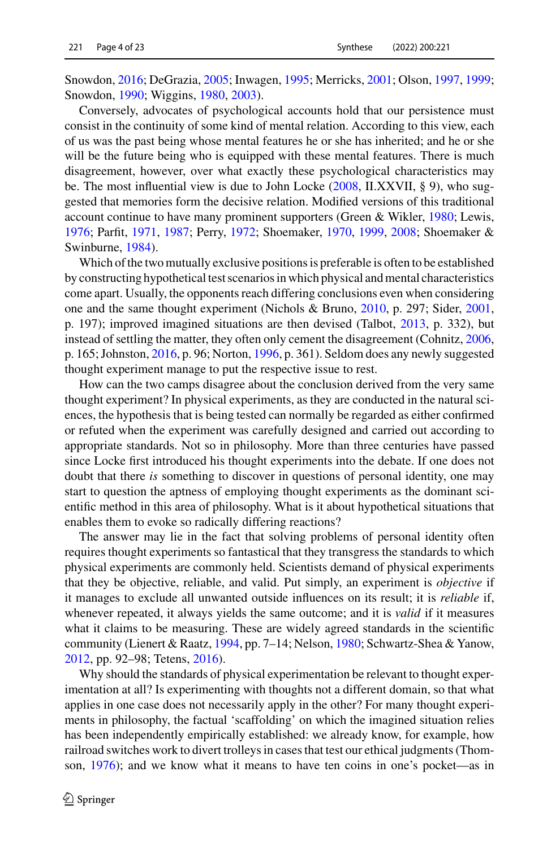Snowdon, [2016;](#page-18-4) DeGrazia, [2005;](#page-19-6) Inwagen, [1995;](#page-19-9) Merricks, [2001;](#page-20-8) Olson, [1997,](#page-20-9) [1999;](#page-20-10) Snowdon, [1990;](#page-21-2) Wiggins, [1980,](#page-21-3) [2003\)](#page-21-4).

Conversely, advocates of psychological accounts hold that our persistence must consist in the continuity of some kind of mental relation. According to this view, each of us was the past being whose mental features he or she has inherited; and he or she will be the future being who is equipped with these mental features. There is much disagreement, however, over what exactly these psychological characteristics may be. The most influential view is due to John Locke  $(2008, II.XXVII, § 9)$  $(2008, II.XXVII, § 9)$ , who suggested that memories form the decisive relation. Modified versions of this traditional account continue to have many prominent supporters (Green & Wikler, [1980;](#page-19-10) Lewis, [1976;](#page-19-11) Parfit, [1971,](#page-20-11) [1987;](#page-20-6) Perry, [1972;](#page-20-12) Shoemaker, [1970,](#page-21-5) [1999,](#page-21-6) [2008;](#page-21-7) Shoemaker & Swinburne, [1984\)](#page-21-8).

Which of the two mutually exclusive positions is preferable is often to be established by constructing hypothetical test scenarios in which physical and mental characteristics come apart. Usually, the opponents reach differing conclusions even when considering one and the same thought experiment (Nichols & Bruno, [2010,](#page-20-13) p. 297; Sider, [2001,](#page-21-9) p. 197); improved imagined situations are then devised (Talbot, [2013,](#page-21-10) p. 332), but instead of settling the matter, they often only cement the disagreement (Cohnitz, [2006,](#page-19-0) p. 165; Johnston, [2016,](#page-19-4) p. 96; Norton, [1996,](#page-20-5) p. 361). Seldom does any newly suggested thought experiment manage to put the respective issue to rest.

How can the two camps disagree about the conclusion derived from the very same thought experiment? In physical experiments, as they are conducted in the natural sciences, the hypothesis that is being tested can normally be regarded as either confirmed or refuted when the experiment was carefully designed and carried out according to appropriate standards. Not so in philosophy. More than three centuries have passed since Locke first introduced his thought experiments into the debate. If one does not doubt that there *is* something to discover in questions of personal identity, one may start to question the aptness of employing thought experiments as the dominant scientific method in this area of philosophy. What is it about hypothetical situations that enables them to evoke so radically differing reactions?

The answer may lie in the fact that solving problems of personal identity often requires thought experiments so fantastical that they transgress the standards to which physical experiments are commonly held. Scientists demand of physical experiments that they be objective, reliable, and valid. Put simply, an experiment is *objective* if it manages to exclude all unwanted outside influences on its result; it is *reliable* if, whenever repeated, it always yields the same outcome; and it is *valid* if it measures what it claims to be measuring. These are widely agreed standards in the scientific community (Lienert & Raatz, [1994,](#page-19-12) pp. 7–14; Nelson, [1980;](#page-20-14) Schwartz-Shea & Yanow, [2012,](#page-21-11) pp. 92–98; Tetens, [2016\)](#page-21-12).

Why should the standards of physical experimentation be relevant to thought experimentation at all? Is experimenting with thoughts not a different domain, so that what applies in one case does not necessarily apply in the other? For many thought experiments in philosophy, the factual 'scaffolding' on which the imagined situation relies has been independently empirically established: we already know, for example, how railroad switches work to divert trolleys in cases that test our ethical judgments (Thomson, [1976\)](#page-21-13); and we know what it means to have ten coins in one's pocket—as in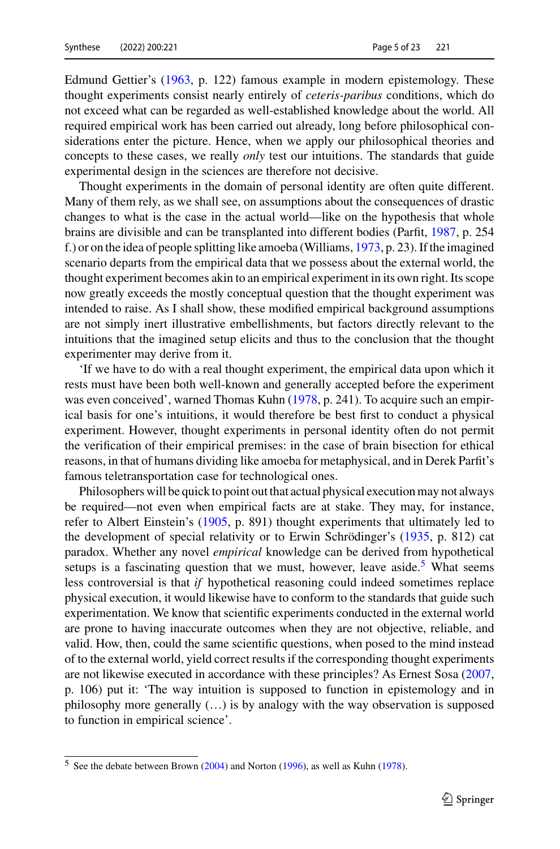Edmund Gettier's [\(1963,](#page-19-13) p. 122) famous example in modern epistemology. These thought experiments consist nearly entirely of *ceteris-paribus* conditions, which do not exceed what can be regarded as well-established knowledge about the world. All required empirical work has been carried out already, long before philosophical considerations enter the picture. Hence, when we apply our philosophical theories and concepts to these cases, we really *only* test our intuitions. The standards that guide experimental design in the sciences are therefore not decisive.

Thought experiments in the domain of personal identity are often quite different. Many of them rely, as we shall see, on assumptions about the consequences of drastic changes to what is the case in the actual world—like on the hypothesis that whole brains are divisible and can be transplanted into different bodies (Parfit, [1987,](#page-20-6) p. 254 f.) or on the idea of people splitting like amoeba (Williams, [1973,](#page-21-14) p. 23). If the imagined scenario departs from the empirical data that we possess about the external world, the thought experiment becomes akin to an empirical experiment in its own right. Its scope now greatly exceeds the mostly conceptual question that the thought experiment was intended to raise. As I shall show, these modified empirical background assumptions are not simply inert illustrative embellishments, but factors directly relevant to the intuitions that the imagined setup elicits and thus to the conclusion that the thought experimenter may derive from it.

'If we have to do with a real thought experiment, the empirical data upon which it rests must have been both well-known and generally accepted before the experiment was even conceived', warned Thomas Kuhn [\(1978,](#page-19-14) p. 241). To acquire such an empirical basis for one's intuitions, it would therefore be best first to conduct a physical experiment. However, thought experiments in personal identity often do not permit the verification of their empirical premises: in the case of brain bisection for ethical reasons, in that of humans dividing like amoeba for metaphysical, and in Derek Parfit's famous teletransportation case for technological ones.

Philosophers will be quick to point out that actual physical execution may not always be required—not even when empirical facts are at stake. They may, for instance, refer to Albert Einstein's [\(1905,](#page-19-15) p. 891) thought experiments that ultimately led to the development of special relativity or to Erwin Schrödinger's [\(1935,](#page-21-15) p. 812) cat paradox. Whether any novel *empirical* knowledge can be derived from hypothetical setups is a fascinating question that we must, however, leave aside.<sup>[5](#page-4-0)</sup> What seems less controversial is that *if* hypothetical reasoning could indeed sometimes replace physical execution, it would likewise have to conform to the standards that guide such experimentation. We know that scientific experiments conducted in the external world are prone to having inaccurate outcomes when they are not objective, reliable, and valid. How, then, could the same scientific questions, when posed to the mind instead of to the external world, yield correct results if the corresponding thought experiments are not likewise executed in accordance with these principles? As Ernest Sosa [\(2007,](#page-21-16) p. 106) put it: 'The way intuition is supposed to function in epistemology and in philosophy more generally (…) is by analogy with the way observation is supposed to function in empirical science'.

<span id="page-4-0"></span><sup>5</sup> See the debate between Brown [\(2004\)](#page-18-5) and Norton [\(1996\)](#page-20-5), as well as Kuhn [\(1978\)](#page-19-14).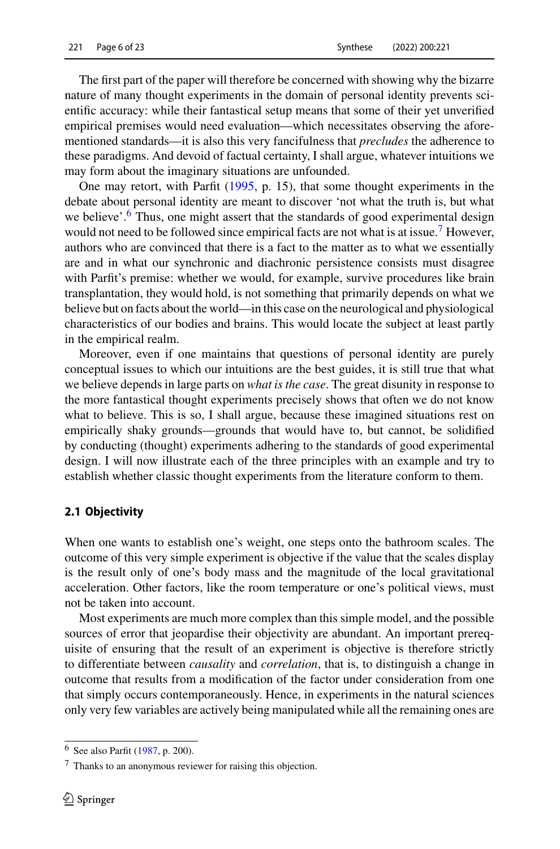The first part of the paper will therefore be concerned with showing why the bizarre nature of many thought experiments in the domain of personal identity prevents scientific accuracy: while their fantastical setup means that some of their yet unverified empirical premises would need evaluation—which necessitates observing the aforementioned standards—it is also this very fancifulness that *precludes* the adherence to these paradigms. And devoid of factual certainty, I shall argue, whatever intuitions we may form about the imaginary situations are unfounded.

One may retort, with Parfit [\(1995,](#page-20-15) p. 15), that some thought experiments in the debate about personal identity are meant to discover 'not what the truth is, but what we believe'.<sup>6</sup> Thus, one might assert that the standards of good experimental design would not need to be followed since empirical facts are not what is at issue.<sup>[7](#page-5-1)</sup> However, authors who are convinced that there is a fact to the matter as to what we essentially are and in what our synchronic and diachronic persistence consists must disagree with Parfit's premise: whether we would, for example, survive procedures like brain transplantation, they would hold, is not something that primarily depends on what we believe but on facts about the world—in this case on the neurological and physiological characteristics of our bodies and brains. This would locate the subject at least partly in the empirical realm.

Moreover, even if one maintains that questions of personal identity are purely conceptual issues to which our intuitions are the best guides, it is still true that what we believe depends in large parts on *what is the case*. The great disunity in response to the more fantastical thought experiments precisely shows that often we do not know what to believe. This is so, I shall argue, because these imagined situations rest on empirically shaky grounds—grounds that would have to, but cannot, be solidified by conducting (thought) experiments adhering to the standards of good experimental design. I will now illustrate each of the three principles with an example and try to establish whether classic thought experiments from the literature conform to them.

#### **2.1 Objectivity**

When one wants to establish one's weight, one steps onto the bathroom scales. The outcome of this very simple experiment is objective if the value that the scales display is the result only of one's body mass and the magnitude of the local gravitational acceleration. Other factors, like the room temperature or one's political views, must not be taken into account.

Most experiments are much more complex than this simple model, and the possible sources of error that jeopardise their objectivity are abundant. An important prerequisite of ensuring that the result of an experiment is objective is therefore strictly to differentiate between *causality* and *correlation*, that is, to distinguish a change in outcome that results from a modification of the factor under consideration from one that simply occurs contemporaneously. Hence, in experiments in the natural sciences only very few variables are actively being manipulated while all the remaining ones are

<span id="page-5-1"></span><span id="page-5-0"></span><sup>6</sup> See also Parfit [\(1987,](#page-20-6) p. 200).

<sup>7</sup> Thanks to an anonymous reviewer for raising this objection.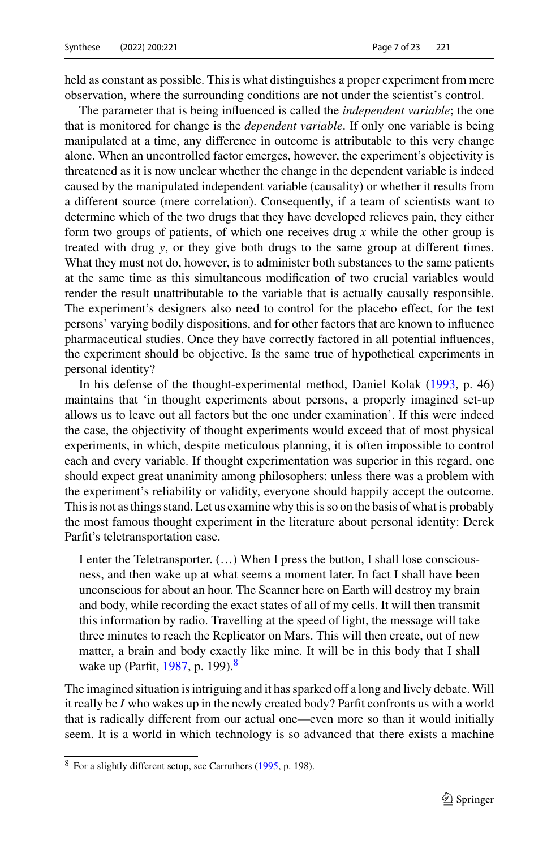held as constant as possible. This is what distinguishes a proper experiment from mere observation, where the surrounding conditions are not under the scientist's control.

The parameter that is being influenced is called the *independent variable*; the one that is monitored for change is the *dependent variable*. If only one variable is being manipulated at a time, any difference in outcome is attributable to this very change alone. When an uncontrolled factor emerges, however, the experiment's objectivity is threatened as it is now unclear whether the change in the dependent variable is indeed caused by the manipulated independent variable (causality) or whether it results from a different source (mere correlation). Consequently, if a team of scientists want to determine which of the two drugs that they have developed relieves pain, they either form two groups of patients, of which one receives drug *x* while the other group is treated with drug *y*, or they give both drugs to the same group at different times. What they must not do, however, is to administer both substances to the same patients at the same time as this simultaneous modification of two crucial variables would render the result unattributable to the variable that is actually causally responsible. The experiment's designers also need to control for the placebo effect, for the test persons' varying bodily dispositions, and for other factors that are known to influence pharmaceutical studies. Once they have correctly factored in all potential influences, the experiment should be objective. Is the same true of hypothetical experiments in personal identity?

In his defense of the thought-experimental method, Daniel Kolak [\(1993,](#page-19-16) p. 46) maintains that 'in thought experiments about persons, a properly imagined set-up allows us to leave out all factors but the one under examination'. If this were indeed the case, the objectivity of thought experiments would exceed that of most physical experiments, in which, despite meticulous planning, it is often impossible to control each and every variable. If thought experimentation was superior in this regard, one should expect great unanimity among philosophers: unless there was a problem with the experiment's reliability or validity, everyone should happily accept the outcome. This is not as things stand. Let us examine why this is so on the basis of what is probably the most famous thought experiment in the literature about personal identity: Derek Parfit's teletransportation case.

I enter the Teletransporter. (…) When I press the button, I shall lose consciousness, and then wake up at what seems a moment later. In fact I shall have been unconscious for about an hour. The Scanner here on Earth will destroy my brain and body, while recording the exact states of all of my cells. It will then transmit this information by radio. Travelling at the speed of light, the message will take three minutes to reach the Replicator on Mars. This will then create, out of new matter, a brain and body exactly like mine. It will be in this body that I shall wake up (Parfit, [1987,](#page-20-6) p. 199).<sup>8</sup>

The imagined situation is intriguing and it has sparked off a long and lively debate. Will it really be *I* who wakes up in the newly created body? Parfit confronts us with a world that is radically different from our actual one—even more so than it would initially seem. It is a world in which technology is so advanced that there exists a machine

<span id="page-6-0"></span><sup>8</sup> For a slightly different setup, see Carruthers [\(1995,](#page-19-17) p. 198).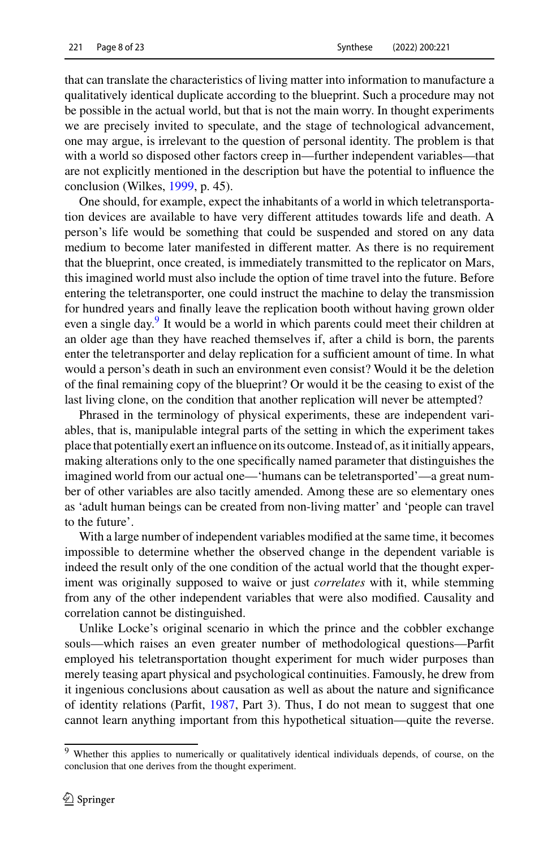that can translate the characteristics of living matter into information to manufacture a qualitatively identical duplicate according to the blueprint. Such a procedure may not be possible in the actual world, but that is not the main worry. In thought experiments we are precisely invited to speculate, and the stage of technological advancement, one may argue, is irrelevant to the question of personal identity. The problem is that with a world so disposed other factors creep in—further independent variables—that are not explicitly mentioned in the description but have the potential to influence the conclusion (Wilkes, [1999,](#page-21-17) p. 45).

One should, for example, expect the inhabitants of a world in which teletransportation devices are available to have very different attitudes towards life and death. A person's life would be something that could be suspended and stored on any data medium to become later manifested in different matter. As there is no requirement that the blueprint, once created, is immediately transmitted to the replicator on Mars, this imagined world must also include the option of time travel into the future. Before entering the teletransporter, one could instruct the machine to delay the transmission for hundred years and finally leave the replication booth without having grown older even a single day.<sup>[9](#page-7-0)</sup> It would be a world in which parents could meet their children at an older age than they have reached themselves if, after a child is born, the parents enter the teletransporter and delay replication for a sufficient amount of time. In what would a person's death in such an environment even consist? Would it be the deletion of the final remaining copy of the blueprint? Or would it be the ceasing to exist of the last living clone, on the condition that another replication will never be attempted?

Phrased in the terminology of physical experiments, these are independent variables, that is, manipulable integral parts of the setting in which the experiment takes place that potentially exert an influence on its outcome. Instead of, as it initially appears, making alterations only to the one specifically named parameter that distinguishes the imagined world from our actual one—'humans can be teletransported'—a great number of other variables are also tacitly amended. Among these are so elementary ones as 'adult human beings can be created from non-living matter' and 'people can travel to the future'.

With a large number of independent variables modified at the same time, it becomes impossible to determine whether the observed change in the dependent variable is indeed the result only of the one condition of the actual world that the thought experiment was originally supposed to waive or just *correlates* with it, while stemming from any of the other independent variables that were also modified. Causality and correlation cannot be distinguished.

Unlike Locke's original scenario in which the prince and the cobbler exchange souls—which raises an even greater number of methodological questions—Parfit employed his teletransportation thought experiment for much wider purposes than merely teasing apart physical and psychological continuities. Famously, he drew from it ingenious conclusions about causation as well as about the nature and significance of identity relations (Parfit, [1987,](#page-20-6) Part 3). Thus, I do not mean to suggest that one cannot learn anything important from this hypothetical situation—quite the reverse.

<span id="page-7-0"></span><sup>&</sup>lt;sup>9</sup> Whether this applies to numerically or qualitatively identical individuals depends, of course, on the conclusion that one derives from the thought experiment.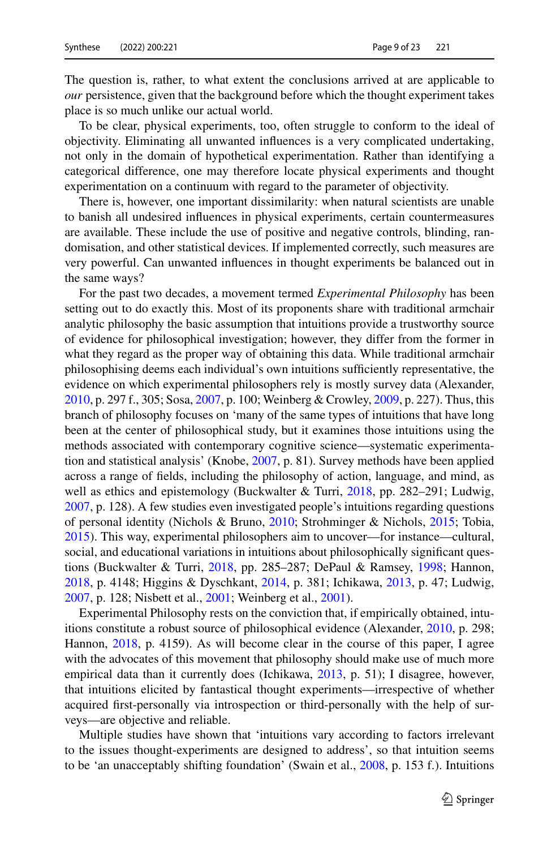The question is, rather, to what extent the conclusions arrived at are applicable to *our* persistence, given that the background before which the thought experiment takes place is so much unlike our actual world.

To be clear, physical experiments, too, often struggle to conform to the ideal of objectivity. Eliminating all unwanted influences is a very complicated undertaking, not only in the domain of hypothetical experimentation. Rather than identifying a categorical difference, one may therefore locate physical experiments and thought experimentation on a continuum with regard to the parameter of objectivity.

There is, however, one important dissimilarity: when natural scientists are unable to banish all undesired influences in physical experiments, certain countermeasures are available. These include the use of positive and negative controls, blinding, randomisation, and other statistical devices. If implemented correctly, such measures are very powerful. Can unwanted influences in thought experiments be balanced out in the same ways?

For the past two decades, a movement termed *Experimental Philosophy* has been setting out to do exactly this. Most of its proponents share with traditional armchair analytic philosophy the basic assumption that intuitions provide a trustworthy source of evidence for philosophical investigation; however, they differ from the former in what they regard as the proper way of obtaining this data. While traditional armchair philosophising deems each individual's own intuitions sufficiently representative, the evidence on which experimental philosophers rely is mostly survey data (Alexander, [2010,](#page-18-6) p. 297 f., 305; Sosa, [2007,](#page-21-16) p. 100; Weinberg & Crowley, [2009,](#page-21-18) p. 227). Thus, this branch of philosophy focuses on 'many of the same types of intuitions that have long been at the center of philosophical study, but it examines those intuitions using the methods associated with contemporary cognitive science—systematic experimentation and statistical analysis' (Knobe, [2007,](#page-19-18) p. 81). Survey methods have been applied across a range of fields, including the philosophy of action, language, and mind, as well as ethics and epistemology (Buckwalter & Turri, [2018,](#page-18-7) pp. 282–291; Ludwig, [2007,](#page-20-16) p. 128). A few studies even investigated people's intuitions regarding questions of personal identity (Nichols & Bruno, [2010;](#page-20-13) Strohminger & Nichols, [2015;](#page-21-19) Tobia, [2015\)](#page-21-20). This way, experimental philosophers aim to uncover—for instance—cultural, social, and educational variations in intuitions about philosophically significant questions (Buckwalter & Turri, [2018,](#page-18-7) pp. 285–287; DePaul & Ramsey, [1998;](#page-19-19) Hannon, [2018,](#page-19-20) p. 4148; Higgins & Dyschkant, [2014,](#page-19-21) p. 381; Ichikawa, [2013,](#page-19-22) p. 47; Ludwig, [2007,](#page-20-16) p. 128; Nisbett et al., [2001;](#page-20-17) Weinberg et al., [2001\)](#page-21-21).

Experimental Philosophy rests on the conviction that, if empirically obtained, intuitions constitute a robust source of philosophical evidence (Alexander, [2010,](#page-18-6) p. 298; Hannon, [2018,](#page-19-20) p. 4159). As will become clear in the course of this paper, I agree with the advocates of this movement that philosophy should make use of much more empirical data than it currently does (Ichikawa, [2013,](#page-19-22) p. 51); I disagree, however, that intuitions elicited by fantastical thought experiments—irrespective of whether acquired first-personally via introspection or third-personally with the help of surveys—are objective and reliable.

Multiple studies have shown that 'intuitions vary according to factors irrelevant to the issues thought-experiments are designed to address', so that intuition seems to be 'an unacceptably shifting foundation' (Swain et al., [2008,](#page-21-22) p. 153 f.). Intuitions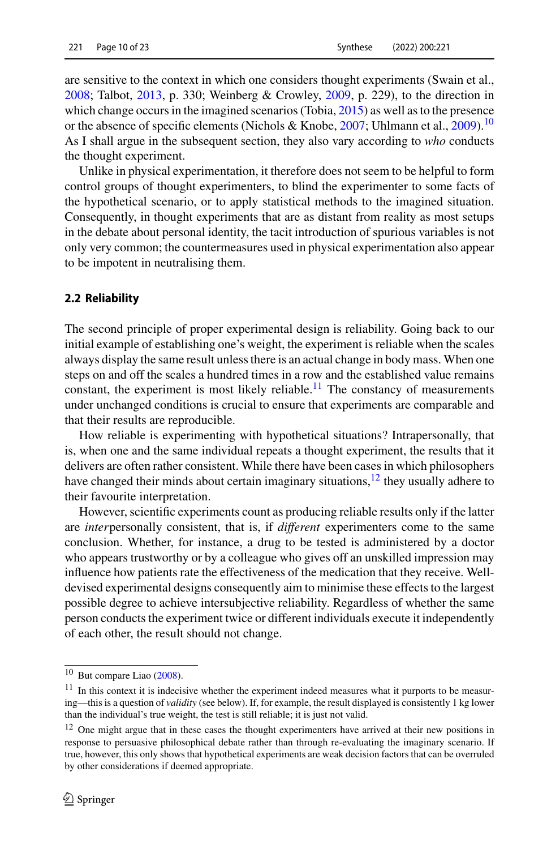are sensitive to the context in which one considers thought experiments (Swain et al., [2008;](#page-21-22) Talbot, [2013,](#page-21-10) p. 330; Weinberg & Crowley, [2009,](#page-21-18) p. 229), to the direction in which change occurs in the imagined scenarios (Tobia, [2015\)](#page-21-20) as well as to the presence or the absence of specific elements (Nichols & Knobe, [2007;](#page-20-18) Uhlmann et al., [2009\)](#page-21-23).<sup>[10](#page-9-0)</sup> As I shall argue in the subsequent section, they also vary according to *who* conducts the thought experiment.

Unlike in physical experimentation, it therefore does not seem to be helpful to form control groups of thought experimenters, to blind the experimenter to some facts of the hypothetical scenario, or to apply statistical methods to the imagined situation. Consequently, in thought experiments that are as distant from reality as most setups in the debate about personal identity, the tacit introduction of spurious variables is not only very common; the countermeasures used in physical experimentation also appear to be impotent in neutralising them.

#### **2.2 Reliability**

The second principle of proper experimental design is reliability. Going back to our initial example of establishing one's weight, the experiment is reliable when the scales always display the same result unless there is an actual change in body mass. When one steps on and off the scales a hundred times in a row and the established value remains constant, the experiment is most likely reliable.<sup>11</sup> The constancy of measurements under unchanged conditions is crucial to ensure that experiments are comparable and that their results are reproducible.

How reliable is experimenting with hypothetical situations? Intrapersonally, that is, when one and the same individual repeats a thought experiment, the results that it delivers are often rather consistent. While there have been cases in which philosophers have changed their minds about certain imaginary situations,  $12$  they usually adhere to their favourite interpretation.

However, scientific experiments count as producing reliable results only if the latter are *inter*personally consistent, that is, if *different* experimenters come to the same conclusion. Whether, for instance, a drug to be tested is administered by a doctor who appears trustworthy or by a colleague who gives off an unskilled impression may influence how patients rate the effectiveness of the medication that they receive. Welldevised experimental designs consequently aim to minimise these effects to the largest possible degree to achieve intersubjective reliability. Regardless of whether the same person conducts the experiment twice or different individuals execute it independently of each other, the result should not change.

<span id="page-9-1"></span><span id="page-9-0"></span><sup>10</sup> But compare Liao [\(2008\)](#page-19-23).

 $11$  In this context it is indecisive whether the experiment indeed measures what it purports to be measuring—this is a question of *validity* (see below). If, for example, the result displayed is consistently 1 kg lower than the individual's true weight, the test is still reliable; it is just not valid.

<span id="page-9-2"></span><sup>&</sup>lt;sup>12</sup> One might argue that in these cases the thought experimenters have arrived at their new positions in response to persuasive philosophical debate rather than through re-evaluating the imaginary scenario. If true, however, this only shows that hypothetical experiments are weak decision factors that can be overruled by other considerations if deemed appropriate.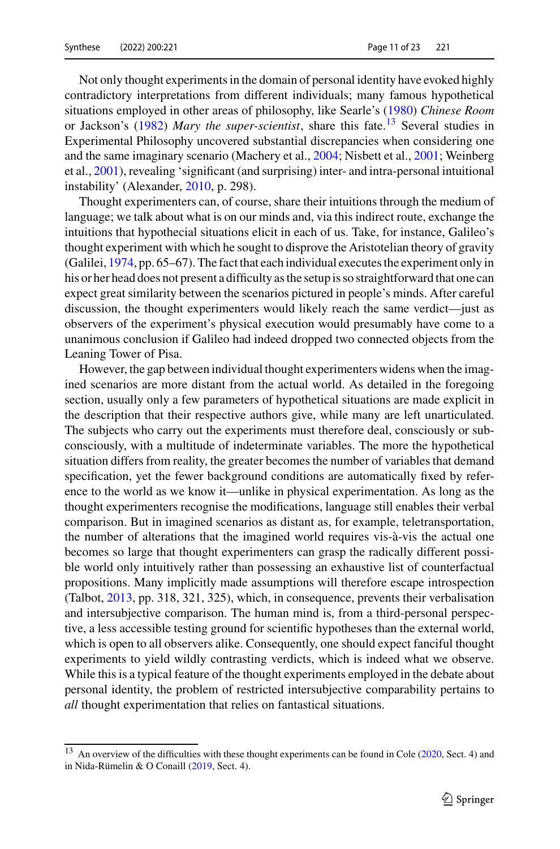Not only thought experiments in the domain of personal identity have evoked highly contradictory interpretations from different individuals; many famous hypothetical situations employed in other areas of philosophy, like Searle's [\(1980\)](#page-21-24) *Chinese Room* or Jackson's [\(1982\)](#page-19-24) *Mary the super-scientist*, share this fate.[13](#page-10-0) Several studies in Experimental Philosophy uncovered substantial discrepancies when considering one and the same imaginary scenario (Machery et al., [2004;](#page-20-19) Nisbett et al., [2001;](#page-20-17) Weinberg et al., [2001\)](#page-21-21), revealing 'significant (and surprising) inter- and intra-personal intuitional instability' (Alexander, [2010,](#page-18-6) p. 298).

Thought experimenters can, of course, share their intuitions through the medium of language; we talk about what is on our minds and, via this indirect route, exchange the intuitions that hypothecial situations elicit in each of us. Take, for instance, Galileo's thought experiment with which he sought to disprove the Aristotelian theory of gravity (Galilei, [1974,](#page-19-25) pp. 65–67). The fact that each individual executes the experiment only in his or her head does not present a difficulty as the setup is so straightforward that one can expect great similarity between the scenarios pictured in people's minds. After careful discussion, the thought experimenters would likely reach the same verdict—just as observers of the experiment's physical execution would presumably have come to a unanimous conclusion if Galileo had indeed dropped two connected objects from the Leaning Tower of Pisa.

However, the gap between individual thought experimenters widens when the imagined scenarios are more distant from the actual world. As detailed in the foregoing section, usually only a few parameters of hypothetical situations are made explicit in the description that their respective authors give, while many are left unarticulated. The subjects who carry out the experiments must therefore deal, consciously or subconsciously, with a multitude of indeterminate variables. The more the hypothetical situation differs from reality, the greater becomes the number of variables that demand specification, yet the fewer background conditions are automatically fixed by reference to the world as we know it—unlike in physical experimentation. As long as the thought experimenters recognise the modifications, language still enables their verbal comparison. But in imagined scenarios as distant as, for example, teletransportation, the number of alterations that the imagined world requires vis-à-vis the actual one becomes so large that thought experimenters can grasp the radically different possible world only intuitively rather than possessing an exhaustive list of counterfactual propositions. Many implicitly made assumptions will therefore escape introspection (Talbot, [2013,](#page-21-10) pp. 318, 321, 325), which, in consequence, prevents their verbalisation and intersubjective comparison. The human mind is, from a third-personal perspective, a less accessible testing ground for scientific hypotheses than the external world, which is open to all observers alike. Consequently, one should expect fanciful thought experiments to yield wildly contrasting verdicts, which is indeed what we observe. While this is a typical feature of the thought experiments employed in the debate about personal identity, the problem of restricted intersubjective comparability pertains to *all* thought experimentation that relies on fantastical situations.

<span id="page-10-0"></span><sup>&</sup>lt;sup>13</sup> An overview of the difficulties with these thought experiments can be found in Cole [\(2020,](#page-19-26) Sect. 4) and in Nida-Rümelin & O Conaill [\(2019,](#page-20-20) Sect. 4).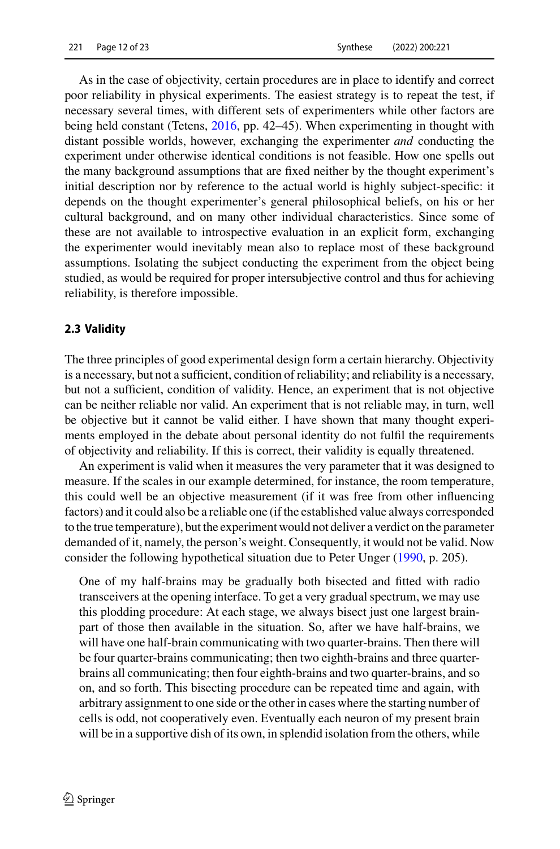As in the case of objectivity, certain procedures are in place to identify and correct poor reliability in physical experiments. The easiest strategy is to repeat the test, if necessary several times, with different sets of experimenters while other factors are being held constant (Tetens, [2016,](#page-21-12) pp. 42–45). When experimenting in thought with distant possible worlds, however, exchanging the experimenter *and* conducting the experiment under otherwise identical conditions is not feasible. How one spells out the many background assumptions that are fixed neither by the thought experiment's initial description nor by reference to the actual world is highly subject-specific: it depends on the thought experimenter's general philosophical beliefs, on his or her cultural background, and on many other individual characteristics. Since some of these are not available to introspective evaluation in an explicit form, exchanging the experimenter would inevitably mean also to replace most of these background assumptions. Isolating the subject conducting the experiment from the object being studied, as would be required for proper intersubjective control and thus for achieving reliability, is therefore impossible.

#### **2.3 Validity**

The three principles of good experimental design form a certain hierarchy. Objectivity is a necessary, but not a sufficient, condition of reliability; and reliability is a necessary, but not a sufficient, condition of validity. Hence, an experiment that is not objective can be neither reliable nor valid. An experiment that is not reliable may, in turn, well be objective but it cannot be valid either. I have shown that many thought experiments employed in the debate about personal identity do not fulfil the requirements of objectivity and reliability. If this is correct, their validity is equally threatened.

An experiment is valid when it measures the very parameter that it was designed to measure. If the scales in our example determined, for instance, the room temperature, this could well be an objective measurement (if it was free from other influencing factors) and it could also be a reliable one (if the established value always corresponded to the true temperature), but the experiment would not deliver a verdict on the parameter demanded of it, namely, the person's weight. Consequently, it would not be valid. Now consider the following hypothetical situation due to Peter Unger [\(1990,](#page-21-25) p. 205).

One of my half-brains may be gradually both bisected and fitted with radio transceivers at the opening interface. To get a very gradual spectrum, we may use this plodding procedure: At each stage, we always bisect just one largest brainpart of those then available in the situation. So, after we have half-brains, we will have one half-brain communicating with two quarter-brains. Then there will be four quarter-brains communicating; then two eighth-brains and three quarterbrains all communicating; then four eighth-brains and two quarter-brains, and so on, and so forth. This bisecting procedure can be repeated time and again, with arbitrary assignment to one side or the other in cases where the starting number of cells is odd, not cooperatively even. Eventually each neuron of my present brain will be in a supportive dish of its own, in splendid isolation from the others, while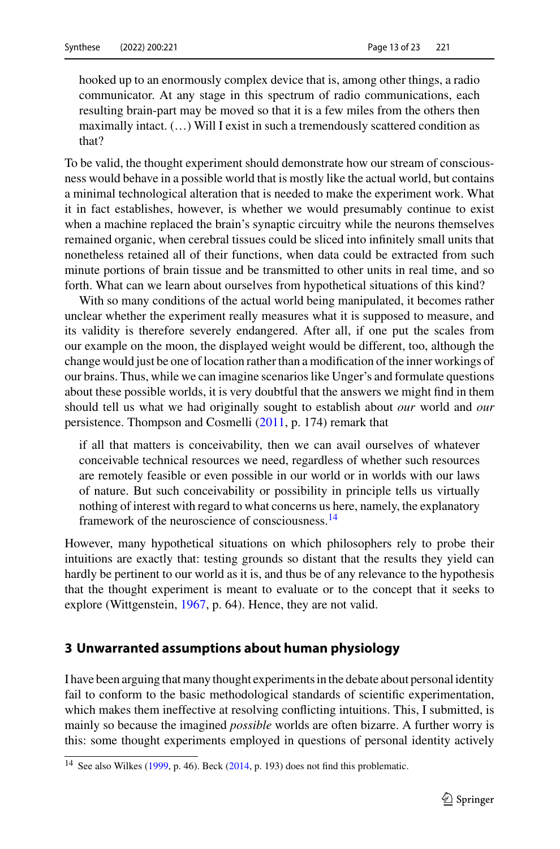hooked up to an enormously complex device that is, among other things, a radio communicator. At any stage in this spectrum of radio communications, each resulting brain-part may be moved so that it is a few miles from the others then maximally intact. (…) Will I exist in such a tremendously scattered condition as that?

To be valid, the thought experiment should demonstrate how our stream of consciousness would behave in a possible world that is mostly like the actual world, but contains a minimal technological alteration that is needed to make the experiment work. What it in fact establishes, however, is whether we would presumably continue to exist when a machine replaced the brain's synaptic circuitry while the neurons themselves remained organic, when cerebral tissues could be sliced into infinitely small units that nonetheless retained all of their functions, when data could be extracted from such minute portions of brain tissue and be transmitted to other units in real time, and so forth. What can we learn about ourselves from hypothetical situations of this kind?

With so many conditions of the actual world being manipulated, it becomes rather unclear whether the experiment really measures what it is supposed to measure, and its validity is therefore severely endangered. After all, if one put the scales from our example on the moon, the displayed weight would be different, too, although the change would just be one of location rather than a modification of the inner workings of our brains. Thus, while we can imagine scenarios like Unger's and formulate questions about these possible worlds, it is very doubtful that the answers we might find in them should tell us what we had originally sought to establish about *our* world and *our* persistence. Thompson and Cosmelli [\(2011,](#page-21-26) p. 174) remark that

if all that matters is conceivability, then we can avail ourselves of whatever conceivable technical resources we need, regardless of whether such resources are remotely feasible or even possible in our world or in worlds with our laws of nature. But such conceivability or possibility in principle tells us virtually nothing of interest with regard to what concerns us here, namely, the explanatory framework of the neuroscience of consciousness[.14](#page-12-0)

However, many hypothetical situations on which philosophers rely to probe their intuitions are exactly that: testing grounds so distant that the results they yield can hardly be pertinent to our world as it is, and thus be of any relevance to the hypothesis that the thought experiment is meant to evaluate or to the concept that it seeks to explore (Wittgenstein, [1967,](#page-22-0) p. 64). Hence, they are not valid.

## **3 Unwarranted assumptions about human physiology**

I have been arguing that many thought experiments in the debate about personal identity fail to conform to the basic methodological standards of scientific experimentation, which makes them ineffective at resolving conflicting intuitions. This, I submitted, is mainly so because the imagined *possible* worlds are often bizarre. A further worry is this: some thought experiments employed in questions of personal identity actively

<span id="page-12-0"></span><sup>&</sup>lt;sup>14</sup> See also Wilkes [\(1999,](#page-21-17) p. 46). Beck [\(2014,](#page-18-8) p. 193) does not find this problematic.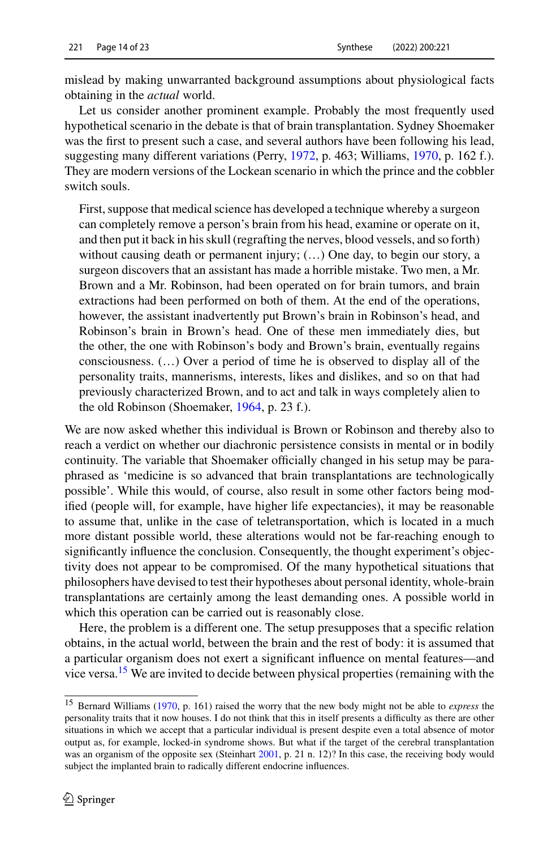mislead by making unwarranted background assumptions about physiological facts obtaining in the *actual* world.

Let us consider another prominent example. Probably the most frequently used hypothetical scenario in the debate is that of brain transplantation. Sydney Shoemaker was the first to present such a case, and several authors have been following his lead, suggesting many different variations (Perry, [1972,](#page-20-12) p. 463; Williams, [1970,](#page-21-1) p. 162 f.). They are modern versions of the Lockean scenario in which the prince and the cobbler switch souls.

First, suppose that medical science has developed a technique whereby a surgeon can completely remove a person's brain from his head, examine or operate on it, and then put it back in his skull (regrafting the nerves, blood vessels, and so forth) without causing death or permanent injury;  $(...)$  One day, to begin our story, a surgeon discovers that an assistant has made a horrible mistake. Two men, a Mr. Brown and a Mr. Robinson, had been operated on for brain tumors, and brain extractions had been performed on both of them. At the end of the operations, however, the assistant inadvertently put Brown's brain in Robinson's head, and Robinson's brain in Brown's head. One of these men immediately dies, but the other, the one with Robinson's body and Brown's brain, eventually regains consciousness. (…) Over a period of time he is observed to display all of the personality traits, mannerisms, interests, likes and dislikes, and so on that had previously characterized Brown, and to act and talk in ways completely alien to the old Robinson (Shoemaker, [1964,](#page-21-27) p. 23 f.).

We are now asked whether this individual is Brown or Robinson and thereby also to reach a verdict on whether our diachronic persistence consists in mental or in bodily continuity. The variable that Shoemaker officially changed in his setup may be paraphrased as 'medicine is so advanced that brain transplantations are technologically possible'. While this would, of course, also result in some other factors being modified (people will, for example, have higher life expectancies), it may be reasonable to assume that, unlike in the case of teletransportation, which is located in a much more distant possible world, these alterations would not be far-reaching enough to significantly influence the conclusion. Consequently, the thought experiment's objectivity does not appear to be compromised. Of the many hypothetical situations that philosophers have devised to test their hypotheses about personal identity, whole-brain transplantations are certainly among the least demanding ones. A possible world in which this operation can be carried out is reasonably close.

Here, the problem is a different one. The setup presupposes that a specific relation obtains, in the actual world, between the brain and the rest of body: it is assumed that a particular organism does not exert a significant influence on mental features—and vice versa.<sup>[15](#page-13-0)</sup> We are invited to decide between physical properties (remaining with the

<span id="page-13-0"></span><sup>15</sup> Bernard Williams [\(1970,](#page-21-1) p. 161) raised the worry that the new body might not be able to *express* the personality traits that it now houses. I do not think that this in itself presents a difficulty as there are other situations in which we accept that a particular individual is present despite even a total absence of motor output as, for example, locked-in syndrome shows. But what if the target of the cerebral transplantation was an organism of the opposite sex (Steinhart [2001,](#page-21-28) p. 21 n. 12)? In this case, the receiving body would subject the implanted brain to radically different endocrine influences.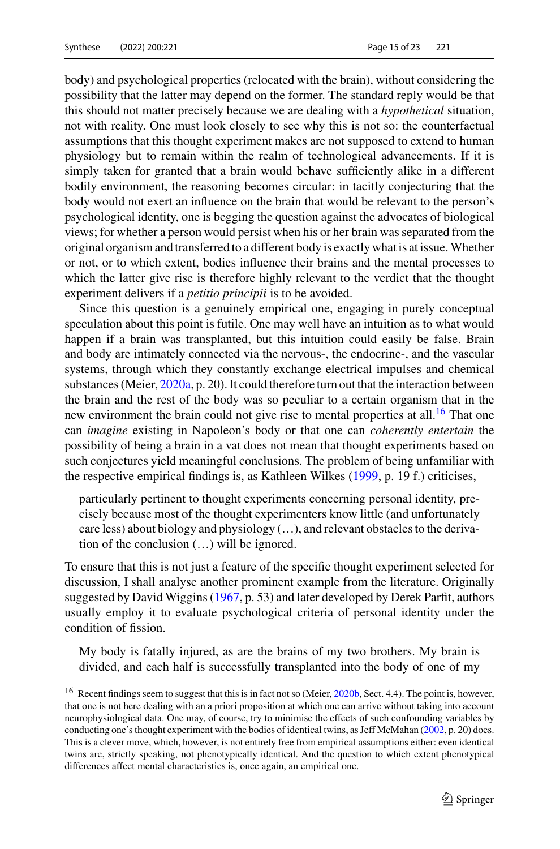body) and psychological properties (relocated with the brain), without considering the possibility that the latter may depend on the former. The standard reply would be that this should not matter precisely because we are dealing with a *hypothetical* situation, not with reality. One must look closely to see why this is not so: the counterfactual assumptions that this thought experiment makes are not supposed to extend to human physiology but to remain within the realm of technological advancements. If it is simply taken for granted that a brain would behave sufficiently alike in a different bodily environment, the reasoning becomes circular: in tacitly conjecturing that the body would not exert an influence on the brain that would be relevant to the person's psychological identity, one is begging the question against the advocates of biological views; for whether a person would persist when his or her brain was separated from the original organism and transferred to a different body is exactly what is at issue.Whether or not, or to which extent, bodies influence their brains and the mental processes to which the latter give rise is therefore highly relevant to the verdict that the thought experiment delivers if a *petitio principii* is to be avoided.

Since this question is a genuinely empirical one, engaging in purely conceptual speculation about this point is futile. One may well have an intuition as to what would happen if a brain was transplanted, but this intuition could easily be false. Brain and body are intimately connected via the nervous-, the endocrine-, and the vascular systems, through which they constantly exchange electrical impulses and chemical substances (Meier, [2020a,](#page-20-21) p. 20). It could therefore turn out that the interaction between the brain and the rest of the body was so peculiar to a certain organism that in the new environment the brain could not give rise to mental properties at all.<sup>16</sup> That one can *imagine* existing in Napoleon's body or that one can *coherently entertain* the possibility of being a brain in a vat does not mean that thought experiments based on such conjectures yield meaningful conclusions. The problem of being unfamiliar with the respective empirical findings is, as Kathleen Wilkes [\(1999,](#page-21-17) p. 19 f.) criticises,

particularly pertinent to thought experiments concerning personal identity, precisely because most of the thought experimenters know little (and unfortunately care less) about biology and physiology (…), and relevant obstacles to the derivation of the conclusion (…) will be ignored.

To ensure that this is not just a feature of the specific thought experiment selected for discussion, I shall analyse another prominent example from the literature. Originally suggested by David Wiggins [\(1967,](#page-21-29) p. 53) and later developed by Derek Parfit, authors usually employ it to evaluate psychological criteria of personal identity under the condition of fission.

My body is fatally injured, as are the brains of my two brothers. My brain is divided, and each half is successfully transplanted into the body of one of my

<span id="page-14-0"></span><sup>&</sup>lt;sup>16</sup> Recent findings seem to suggest that this is in fact not so (Meier, [2020b,](#page-20-22) Sect. 4.4). The point is, however, that one is not here dealing with an a priori proposition at which one can arrive without taking into account neurophysiological data. One may, of course, try to minimise the effects of such confounding variables by conducting one's thought experiment with the bodies of identical twins, as Jeff McMahan [\(2002,](#page-20-23) p. 20) does. This is a clever move, which, however, is not entirely free from empirical assumptions either: even identical twins are, strictly speaking, not phenotypically identical. And the question to which extent phenotypical differences affect mental characteristics is, once again, an empirical one.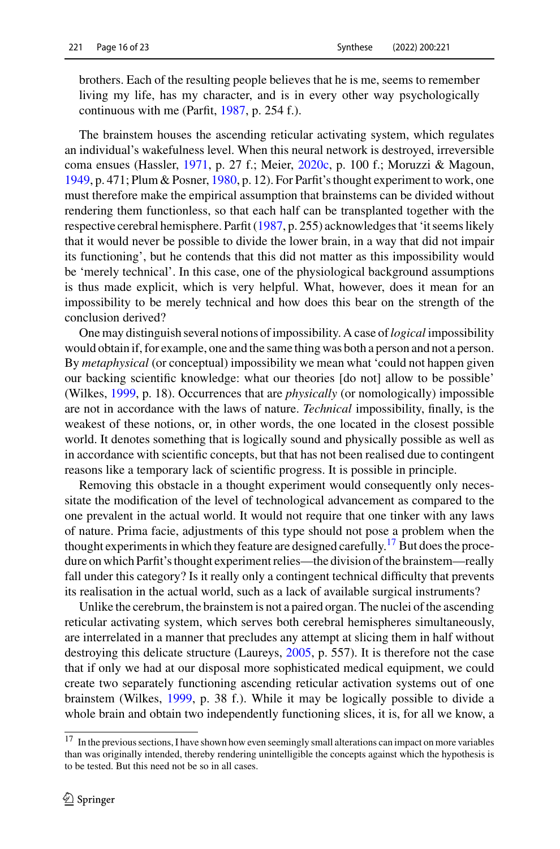brothers. Each of the resulting people believes that he is me, seems to remember living my life, has my character, and is in every other way psychologically continuous with me (Parfit, [1987,](#page-20-6) p. 254 f.).

The brainstem houses the ascending reticular activating system, which regulates an individual's wakefulness level. When this neural network is destroyed, irreversible coma ensues (Hassler, [1971,](#page-19-27) p. 27 f.; Meier, [2020c,](#page-20-24) p. 100 f.; Moruzzi & Magoun, [1949,](#page-20-25) p. 471; Plum & Posner, [1980,](#page-20-26) p. 12). For Parfit's thought experiment to work, one must therefore make the empirical assumption that brainstems can be divided without rendering them functionless, so that each half can be transplanted together with the respective cerebral hemisphere. Parfit [\(1987,](#page-20-6) p. 255) acknowledges that 'it seems likely that it would never be possible to divide the lower brain, in a way that did not impair its functioning', but he contends that this did not matter as this impossibility would be 'merely technical'. In this case, one of the physiological background assumptions is thus made explicit, which is very helpful. What, however, does it mean for an impossibility to be merely technical and how does this bear on the strength of the conclusion derived?

One may distinguish several notions of impossibility. A case of*logical* impossibility would obtain if, for example, one and the same thing was both a person and not a person. By *metaphysical* (or conceptual) impossibility we mean what 'could not happen given our backing scientific knowledge: what our theories [do not] allow to be possible' (Wilkes, [1999,](#page-21-17) p. 18). Occurrences that are *physically* (or nomologically) impossible are not in accordance with the laws of nature. *Technical* impossibility, finally, is the weakest of these notions, or, in other words, the one located in the closest possible world. It denotes something that is logically sound and physically possible as well as in accordance with scientific concepts, but that has not been realised due to contingent reasons like a temporary lack of scientific progress. It is possible in principle.

Removing this obstacle in a thought experiment would consequently only necessitate the modification of the level of technological advancement as compared to the one prevalent in the actual world. It would not require that one tinker with any laws of nature. Prima facie, adjustments of this type should not pose a problem when the thought experiments in which they feature are designed carefully.<sup>17</sup> But does the procedure on which Parfit's thought experiment relies—the division of the brainstem—really fall under this category? Is it really only a contingent technical difficulty that prevents its realisation in the actual world, such as a lack of available surgical instruments?

Unlike the cerebrum, the brainstem is not a paired organ. The nuclei of the ascending reticular activating system, which serves both cerebral hemispheres simultaneously, are interrelated in a manner that precludes any attempt at slicing them in half without destroying this delicate structure (Laureys, [2005,](#page-19-28) p. 557). It is therefore not the case that if only we had at our disposal more sophisticated medical equipment, we could create two separately functioning ascending reticular activation systems out of one brainstem (Wilkes, [1999,](#page-21-17) p. 38 f.). While it may be logically possible to divide a whole brain and obtain two independently functioning slices, it is, for all we know, a

<span id="page-15-0"></span><sup>17</sup> In the previous sections, I have shown how even seemingly small alterations can impact on more variables than was originally intended, thereby rendering unintelligible the concepts against which the hypothesis is to be tested. But this need not be so in all cases.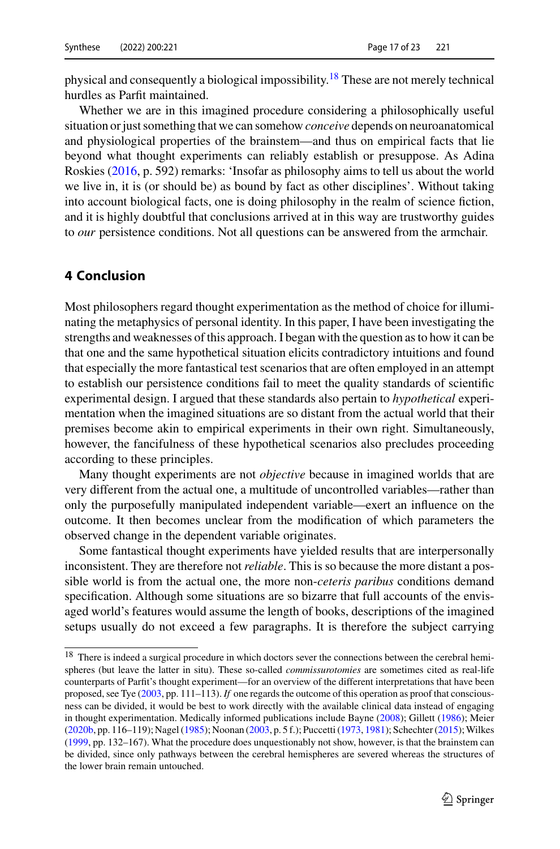physical and consequently a biological impossibility[.18](#page-16-0) These are not merely technical hurdles as Parfit maintained.

Whether we are in this imagined procedure considering a philosophically useful situation or just something that we can somehow *conceive* depends on neuroanatomical and physiological properties of the brainstem—and thus on empirical facts that lie beyond what thought experiments can reliably establish or presuppose. As Adina Roskies [\(2016,](#page-21-30) p. 592) remarks: 'Insofar as philosophy aims to tell us about the world we live in, it is (or should be) as bound by fact as other disciplines'. Without taking into account biological facts, one is doing philosophy in the realm of science fiction, and it is highly doubtful that conclusions arrived at in this way are trustworthy guides to *our* persistence conditions. Not all questions can be answered from the armchair.

## **4 Conclusion**

Most philosophers regard thought experimentation as the method of choice for illuminating the metaphysics of personal identity. In this paper, I have been investigating the strengths and weaknesses of this approach. I began with the question as to how it can be that one and the same hypothetical situation elicits contradictory intuitions and found that especially the more fantastical test scenarios that are often employed in an attempt to establish our persistence conditions fail to meet the quality standards of scientific experimental design. I argued that these standards also pertain to *hypothetical* experimentation when the imagined situations are so distant from the actual world that their premises become akin to empirical experiments in their own right. Simultaneously, however, the fancifulness of these hypothetical scenarios also precludes proceeding according to these principles.

Many thought experiments are not *objective* because in imagined worlds that are very different from the actual one, a multitude of uncontrolled variables—rather than only the purposefully manipulated independent variable—exert an influence on the outcome. It then becomes unclear from the modification of which parameters the observed change in the dependent variable originates.

Some fantastical thought experiments have yielded results that are interpersonally inconsistent. They are therefore not *reliable*. This is so because the more distant a possible world is from the actual one, the more non-*ceteris paribus* conditions demand specification. Although some situations are so bizarre that full accounts of the envisaged world's features would assume the length of books, descriptions of the imagined setups usually do not exceed a few paragraphs. It is therefore the subject carrying

<span id="page-16-0"></span><sup>&</sup>lt;sup>18</sup> There is indeed a surgical procedure in which doctors sever the connections between the cerebral hemispheres (but leave the latter in situ). These so-called *commissurotomies* are sometimes cited as real-life counterparts of Parfit's thought experiment—for an overview of the different interpretations that have been proposed, see Tye [\(2003,](#page-21-31) pp. 111–113). *If* one regards the outcome of this operation as proof that consciousness can be divided, it would be best to work directly with the available clinical data instead of engaging in thought experimentation. Medically informed publications include Bayne [\(2008\)](#page-18-9); Gillett [\(1986\)](#page-19-29); Meier [\(2020b,](#page-20-22) pp. 116–119); Nagel [\(1985\)](#page-20-27); Noonan [\(2003,](#page-20-4) p. 5 f.); Puccetti [\(1973,](#page-20-28) [1981\)](#page-20-29); Schechter [\(2015\)](#page-21-32); Wilkes [\(1999,](#page-21-17) pp. 132–167). What the procedure does unquestionably not show, however, is that the brainstem can be divided, since only pathways between the cerebral hemispheres are severed whereas the structures of the lower brain remain untouched.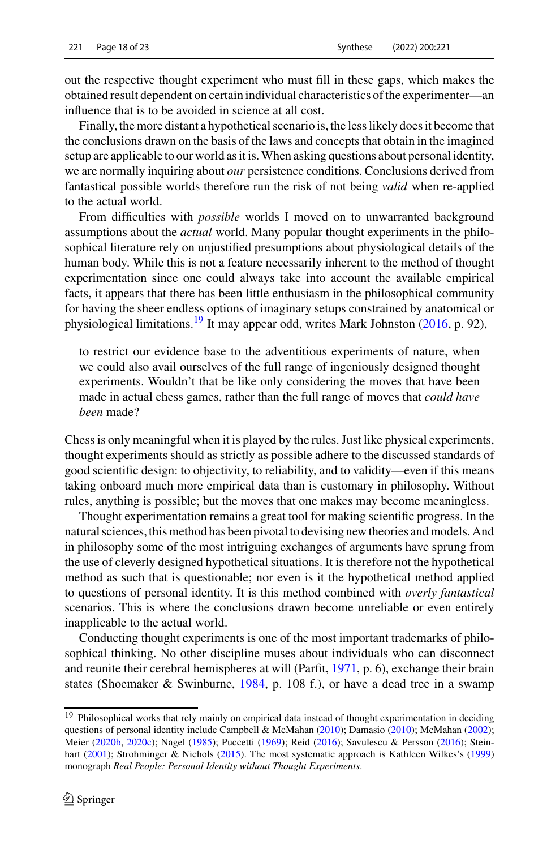out the respective thought experiment who must fill in these gaps, which makes the obtained result dependent on certain individual characteristics of the experimenter—an influence that is to be avoided in science at all cost.

Finally, the more distant a hypothetical scenario is, the less likely does it become that the conclusions drawn on the basis of the laws and concepts that obtain in the imagined setup are applicable to our world as it is.When asking questions about personal identity, we are normally inquiring about *our* persistence conditions. Conclusions derived from fantastical possible worlds therefore run the risk of not being *valid* when re-applied to the actual world.

From difficulties with *possible* worlds I moved on to unwarranted background assumptions about the *actual* world. Many popular thought experiments in the philosophical literature rely on unjustified presumptions about physiological details of the human body. While this is not a feature necessarily inherent to the method of thought experimentation since one could always take into account the available empirical facts, it appears that there has been little enthusiasm in the philosophical community for having the sheer endless options of imaginary setups constrained by anatomical or physiological limitations.[19](#page-17-0) It may appear odd, writes Mark Johnston [\(2016,](#page-19-4) p. 92),

to restrict our evidence base to the adventitious experiments of nature, when we could also avail ourselves of the full range of ingeniously designed thought experiments. Wouldn't that be like only considering the moves that have been made in actual chess games, rather than the full range of moves that *could have been* made?

Chess is only meaningful when it is played by the rules. Just like physical experiments, thought experiments should as strictly as possible adhere to the discussed standards of good scientific design: to objectivity, to reliability, and to validity—even if this means taking onboard much more empirical data than is customary in philosophy. Without rules, anything is possible; but the moves that one makes may become meaningless.

Thought experimentation remains a great tool for making scientific progress. In the natural sciences, this method has been pivotal to devising new theories and models. And in philosophy some of the most intriguing exchanges of arguments have sprung from the use of cleverly designed hypothetical situations. It is therefore not the hypothetical method as such that is questionable; nor even is it the hypothetical method applied to questions of personal identity. It is this method combined with *overly fantastical* scenarios. This is where the conclusions drawn become unreliable or even entirely inapplicable to the actual world.

Conducting thought experiments is one of the most important trademarks of philosophical thinking. No other discipline muses about individuals who can disconnect and reunite their cerebral hemispheres at will (Parfit, [1971,](#page-20-11) p. 6), exchange their brain states (Shoemaker & Swinburne, [1984,](#page-21-8) p. 108 f.), or have a dead tree in a swamp

<span id="page-17-0"></span><sup>&</sup>lt;sup>19</sup> Philosophical works that rely mainly on empirical data instead of thought experimentation in deciding questions of personal identity include Campbell & McMahan [\(2010\)](#page-19-31); Damasio (2010); McMahan [\(2002\)](#page-20-23); Meier [\(2020b,](#page-20-22) [2020c\)](#page-20-24); Nagel [\(1985\)](#page-20-27); Puccetti [\(1969\)](#page-20-30); Reid [\(2016\)](#page-20-31); Savulescu & Persson [\(2016\)](#page-21-33); Stein-hart [\(2001\)](#page-21-28); Strohminger & Nichols [\(2015\)](#page-21-19). The most systematic approach is Kathleen Wilkes's [\(1999\)](#page-21-17) monograph *Real People: Personal Identity without Thought Experiments*.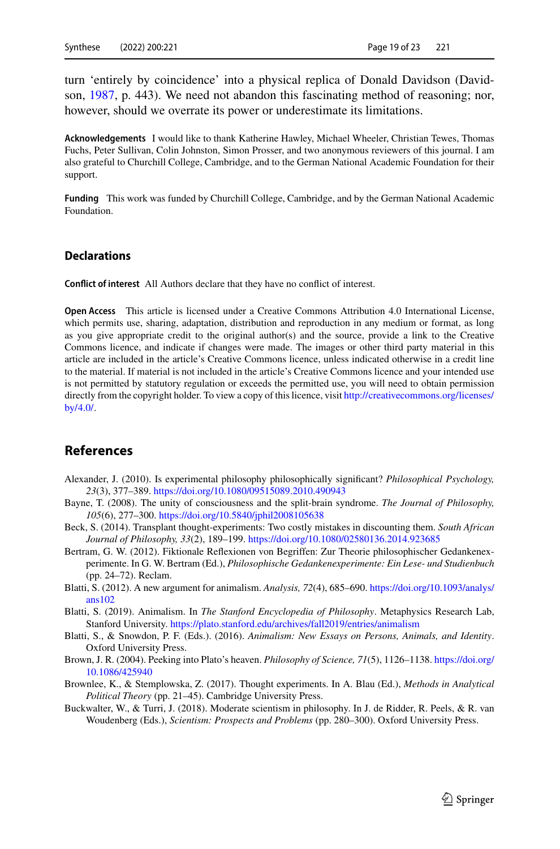turn 'entirely by coincidence' into a physical replica of Donald Davidson (Davidson, [1987,](#page-19-32) p. 443). We need not abandon this fascinating method of reasoning; nor, however, should we overrate its power or underestimate its limitations.

**Acknowledgements** I would like to thank Katherine Hawley, Michael Wheeler, Christian Tewes, Thomas Fuchs, Peter Sullivan, Colin Johnston, Simon Prosser, and two anonymous reviewers of this journal. I am also grateful to Churchill College, Cambridge, and to the German National Academic Foundation for their support.

**Funding** This work was funded by Churchill College, Cambridge, and by the German National Academic Foundation.

#### **Declarations**

**Conflict of interest** All Authors declare that they have no conflict of interest.

**Open Access** This article is licensed under a Creative Commons Attribution 4.0 International License, which permits use, sharing, adaptation, distribution and reproduction in any medium or format, as long as you give appropriate credit to the original author(s) and the source, provide a link to the Creative Commons licence, and indicate if changes were made. The images or other third party material in this article are included in the article's Creative Commons licence, unless indicated otherwise in a credit line to the material. If material is not included in the article's Creative Commons licence and your intended use is not permitted by statutory regulation or exceeds the permitted use, you will need to obtain permission directly from the copyright holder. To view a copy of this licence, visit [http://creativecommons.org/licenses/](http://creativecommons.org/licenses/by/4.0/) [by/4.0/.](http://creativecommons.org/licenses/by/4.0/)

### **References**

- <span id="page-18-6"></span>Alexander, J. (2010). Is experimental philosophy philosophically significant? *Philosophical Psychology, 23*(3), 377–389. <https://doi.org/10.1080/09515089.2010.490943>
- <span id="page-18-9"></span>Bayne, T. (2008). The unity of consciousness and the split-brain syndrome. *The Journal of Philosophy, 105*(6), 277–300. <https://doi.org/10.5840/jphil2008105638>
- <span id="page-18-8"></span>Beck, S. (2014). Transplant thought-experiments: Two costly mistakes in discounting them. *South African Journal of Philosophy, 33*(2), 189–199. <https://doi.org/10.1080/02580136.2014.923685>
- <span id="page-18-1"></span>Bertram, G. W. (2012). Fiktionale Reflexionen von Begriffen: Zur Theorie philosophischer Gedankenexperimente. In G. W. Bertram (Ed.), *Philosophische Gedankenexperimente: Ein Lese- und Studienbuch* (pp. 24–72). Reclam.
- <span id="page-18-3"></span>Blat[ti, S. \(2012\). A new argument for animalism.](https://doi.org/10.1093/analys/ans102) *Analysis, 72*(4), 685–690. https://doi.org/10.1093/analys/ ans102
- <span id="page-18-2"></span>Blatti, S. (2019). Animalism. In *The Stanford Encyclopedia of Philosophy*. Metaphysics Research Lab, Stanford University. <https://plato.stanford.edu/archives/fall2019/entries/animalism>
- <span id="page-18-4"></span>Blatti, S., & Snowdon, P. F. (Eds.). (2016). *Animalism: New Essays on Persons, Animals, and Identity*. Oxford University Press.
- <span id="page-18-5"></span>Bro[wn, J. R. \(2004\). Peeking into Plato's heaven.](https://doi.org/10.1086/425940) *Philosophy of Science, 71*(5), 1126–1138. https://doi.org/ 10.1086/425940
- <span id="page-18-0"></span>Brownlee, K., & Stemplowska, Z. (2017). Thought experiments. In A. Blau (Ed.), *Methods in Analytical Political Theory* (pp. 21–45). Cambridge University Press.
- <span id="page-18-7"></span>Buckwalter, W., & Turri, J. (2018). Moderate scientism in philosophy. In J. de Ridder, R. Peels, & R. van Woudenberg (Eds.), *Scientism: Prospects and Problems* (pp. 280–300). Oxford University Press.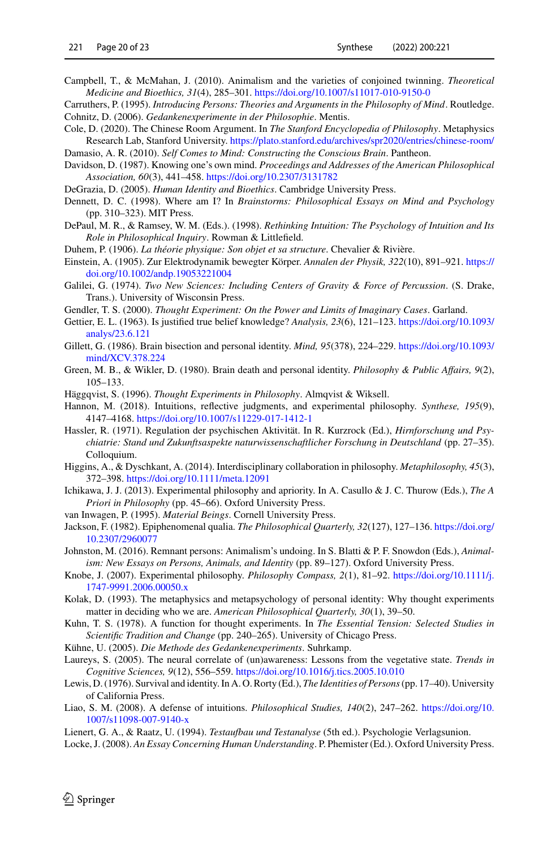- <span id="page-19-30"></span>Campbell, T., & McMahan, J. (2010). Animalism and the varieties of conjoined twinning. *Theoretical Medicine and Bioethics, 31*(4), 285–301. <https://doi.org/10.1007/s11017-010-9150-0>
- <span id="page-19-17"></span><span id="page-19-0"></span>Carruthers, P. (1995). *Introducing Persons: Theories and Arguments in the Philosophy of Mind*. Routledge. Cohnitz, D. (2006). *Gedankenexperimente in der Philosophie*. Mentis.
- <span id="page-19-26"></span>Cole, D. (2020). The Chinese Room Argument. In *The Stanford Encyclopedia of Philosophy*. Metaphysics Research Lab, Stanford University. <https://plato.stanford.edu/archives/spr2020/entries/chinese-room/> Damasio, A. R. (2010). *Self Comes to Mind: Constructing the Conscious Brain*. Pantheon.
- <span id="page-19-32"></span><span id="page-19-31"></span>Davidson, D. (1987). Knowing one's own mind. *Proceedings and Addresses of the American Philosophical Association, 60*(3), 441–458. <https://doi.org/10.2307/3131782>

<span id="page-19-6"></span>DeGrazia, D. (2005). *Human Identity and Bioethics*. Cambridge University Press.

- <span id="page-19-8"></span>Dennett, D. C. (1998). Where am I? In *Brainstorms: Philosophical Essays on Mind and Psychology* (pp. 310–323). MIT Press.
- <span id="page-19-19"></span>DePaul, M. R., & Ramsey, W. M. (Eds.). (1998). *Rethinking Intuition: The Psychology of Intuition and Its Role in Philosophical Inquiry*. Rowman & Littlefield.
- <span id="page-19-5"></span>Duhem, P. (1906). *La théorie physique: Son objet et sa structure*. Chevalier & Rivière.
- <span id="page-19-15"></span>Eins[tein, A. \(1905\). Zur Elektrodynamik bewegter Körper.](https://doi.org/10.1002/andp.19053221004) *Annalen der Physik, 322*(10), 891–921. https:// doi.org/10.1002/andp.19053221004
- <span id="page-19-25"></span>Galilei, G. (1974). *Two New Sciences: Including Centers of Gravity & Force of Percussion*. (S. Drake, Trans.). University of Wisconsin Press.
- <span id="page-19-1"></span>Gendler, T. S. (2000). *Thought Experiment: On the Power and Limits of Imaginary Cases*. Garland.
- <span id="page-19-13"></span>Gett[ier, E. L. \(1963\). Is justified true belief knowledge?](https://doi.org/10.1093/analys/23.6.121) *Analysis, 23*(6), 121–123. https://doi.org/10.1093/ analys/23.6.121
- <span id="page-19-29"></span>Gill[ett, G. \(1986\). Brain bisection and personal identity.](https://doi.org/10.1093/mind/XCV.378.224) *Mind, 95*(378), 224–229. https://doi.org/10.1093/ mind/XCV.378.224
- <span id="page-19-10"></span>Green, M. B., & Wikler, D. (1980). Brain death and personal identity. *Philosophy & Public Affairs, 9*(2), 105–133.
- <span id="page-19-2"></span>Häggqvist, S. (1996). *Thought Experiments in Philosophy*. Almqvist & Wiksell.
- <span id="page-19-20"></span>Hannon, M. (2018). Intuitions, reflective judgments, and experimental philosophy. *Synthese, 195*(9), 4147–4168. <https://doi.org/10.1007/s11229-017-1412-1>
- <span id="page-19-27"></span>Hassler, R. (1971). Regulation der psychischen Aktivität. In R. Kurzrock (Ed.), *Hirnforschung und Psychiatrie: Stand und Zukunftsaspekte naturwissenschaftlicher Forschung in Deutschland* (pp. 27–35). Colloquium.
- <span id="page-19-21"></span>Higgins, A., & Dyschkant, A. (2014). Interdisciplinary collaboration in philosophy. *Metaphilosophy, 45*(3), 372–398. <https://doi.org/10.1111/meta.12091>
- <span id="page-19-22"></span>Ichikawa, J. J. (2013). Experimental philosophy and apriority. In A. Casullo & J. C. Thurow (Eds.), *The A Priori in Philosophy* (pp. 45–66). Oxford University Press.
- <span id="page-19-9"></span>van Inwagen, P. (1995). *Material Beings*. Cornell University Press.
- <span id="page-19-24"></span>Jack[son, F. \(1982\). Epiphenomenal qualia.](https://doi.org/10.2307/2960077) *The Philosophical Quarterly, 32*(127), 127–136. https://doi.org/ 10.2307/2960077
- <span id="page-19-4"></span>Johnston, M. (2016). Remnant persons: Animalism's undoing. In S. Blatti & P. F. Snowdon (Eds.), *Animalism: New Essays on Persons, Animals, and Identity* (pp. 89–127). Oxford University Press.
- <span id="page-19-18"></span>Kno[be, J. \(2007\). Experimental philosophy.](https://doi.org/10.1111/j.1747-9991.2006.00050.x) *Philosophy Compass, 2*(1), 81–92. https://doi.org/10.1111/j. 1747-9991.2006.00050.x
- <span id="page-19-16"></span>Kolak, D. (1993). The metaphysics and metapsychology of personal identity: Why thought experiments matter in deciding who we are. *American Philosophical Quarterly, 30*(1), 39–50.
- <span id="page-19-14"></span>Kuhn, T. S. (1978). A function for thought experiments. In *The Essential Tension: Selected Studies in Scientific Tradition and Change* (pp. 240–265). University of Chicago Press.
- <span id="page-19-3"></span>Kühne, U. (2005). *Die Methode des Gedankenexperiments*. Suhrkamp.
- <span id="page-19-28"></span>Laureys, S. (2005). The neural correlate of (un)awareness: Lessons from the vegetative state. *Trends in Cognitive Sciences, 9*(12), 556–559. <https://doi.org/10.1016/j.tics.2005.10.010>
- <span id="page-19-11"></span>Lewis, D. (1976). Survival and identity. In A. O. Rorty (Ed.), *The Identities of Persons*(pp. 17–40). University of California Press.
- <span id="page-19-23"></span>Liao[, S. M. \(2008\). A defense of intuitions.](https://doi.org/10.1007/s11098-007-9140-x) *Philosophical Studies, 140*(2), 247–262. https://doi.org/10. 1007/s11098-007-9140-x
- <span id="page-19-12"></span>Lienert, G. A., & Raatz, U. (1994). *Testaufbau und Testanalyse* (5th ed.). Psychologie Verlagsunion.
- <span id="page-19-7"></span>Locke, J. (2008). *An Essay Concerning Human Understanding*. P. Phemister (Ed.). Oxford University Press.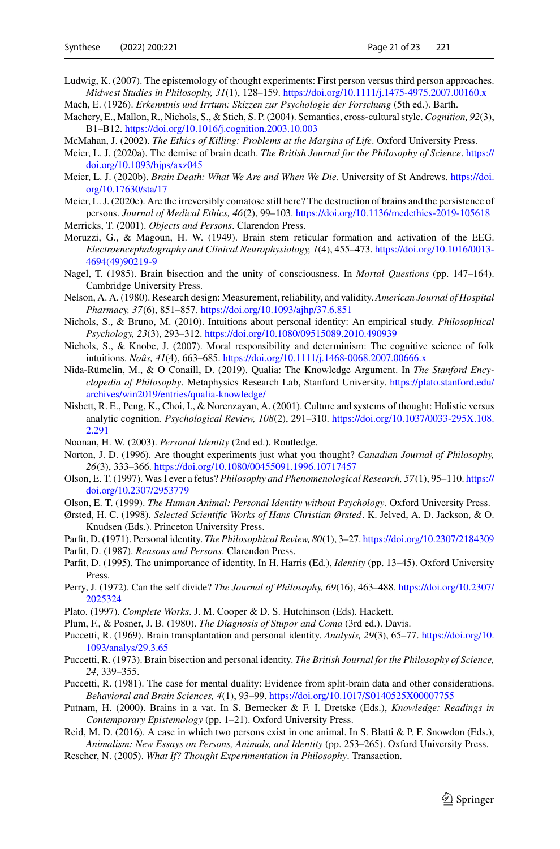- <span id="page-20-16"></span>Ludwig, K. (2007). The epistemology of thought experiments: First person versus third person approaches. *Midwest Studies in Philosophy, 31*(1), 128–159. <https://doi.org/10.1111/j.1475-4975.2007.00160.x>
- <span id="page-20-1"></span>Mach, E. (1926). *Erkenntnis und Irrtum: Skizzen zur Psychologie der Forschung* (5th ed.). Barth.
- <span id="page-20-19"></span>Machery, E., Mallon, R., Nichols, S., & Stich, S. P. (2004). Semantics, cross-cultural style. *Cognition, 92*(3), B1–B12. <https://doi.org/10.1016/j.cognition.2003.10.003>
- <span id="page-20-23"></span>McMahan, J. (2002). *The Ethics of Killing: Problems at the Margins of Life*. Oxford University Press.
- <span id="page-20-21"></span>Meier, L. J. (2020a). The demise of brain death. *[The British Journal for the Philosophy of Science](https://doi.org/10.1093/bjps/axz045)*. https:// doi.org/10.1093/bjps/axz045
- <span id="page-20-22"></span>Meier, L. J. (2020b). *[Brain Death: What We Are and When We Die](https://doi.org/10.17630/sta/17)*. University of St Andrews. https://doi. org/10.17630/sta/17
- <span id="page-20-24"></span>Meier, L. J. (2020c). Are the irreversibly comatose still here? The destruction of brains and the persistence of persons. *Journal of Medical Ethics, 46*(2), 99–103. <https://doi.org/10.1136/medethics-2019-105618> Merricks, T. (2001). *Objects and Persons*. Clarendon Press.
- <span id="page-20-25"></span><span id="page-20-8"></span>Moruzzi, G., & Magoun, H. W. (1949). Brain stem reticular formation and activation of the EEG. *[Electroencephalography and Clinical Neurophysiology, 1](https://doi.org/10.1016/0013-4694(49)90219-9)*(4), 455–473. https://doi.org/10.1016/0013- 4694(49)90219-9
- <span id="page-20-27"></span>Nagel, T. (1985). Brain bisection and the unity of consciousness. In *Mortal Questions* (pp. 147–164). Cambridge University Press.
- <span id="page-20-14"></span>Nelson, A. A. (1980). Research design: Measurement, reliability, and validity. *American Journal of Hospital Pharmacy, 37*(6), 851–857. <https://doi.org/10.1093/ajhp/37.6.851>
- <span id="page-20-13"></span>Nichols, S., & Bruno, M. (2010). Intuitions about personal identity: An empirical study. *Philosophical Psychology, 23*(3), 293–312. <https://doi.org/10.1080/09515089.2010.490939>
- <span id="page-20-18"></span>Nichols, S., & Knobe, J. (2007). Moral responsibility and determinism: The cognitive science of folk intuitions. *Noûs, 41*(4), 663–685. <https://doi.org/10.1111/j.1468-0068.2007.00666.x>
- <span id="page-20-20"></span>Nida-Rümelin, M., & O Conaill, D. (2019). Qualia: The Knowledge Argument. In *The Stanford Encyclopedia of Philosophy*[. Metaphysics Research Lab, Stanford University.](https://plato.stanford.edu/archives/win2019/entries/qualia-knowledge/) https://plato.stanford.edu/ archives/win2019/entries/qualia-knowledge/
- <span id="page-20-17"></span>Nisbett, R. E., Peng, K., Choi, I., & Norenzayan, A. (2001). Culture and systems of thought: Holistic versus analytic cognition. *Psychological Review, 108*(2), 291–310. [https://doi.org/10.1037/0033-295X.108.](https://doi.org/10.1037/0033-295X.108.2.291) 2.291
- <span id="page-20-4"></span>Noonan, H. W. (2003). *Personal Identity* (2nd ed.). Routledge.
- <span id="page-20-5"></span>Norton, J. D. (1996). Are thought experiments just what you thought? *Canadian Journal of Philosophy, 26*(3), 333–366. <https://doi.org/10.1080/00455091.1996.10717457>
- <span id="page-20-9"></span>Olson, E. T. (1997). Was I ever a fetus? *[Philosophy and Phenomenological Research, 57](https://doi.org/10.2307/2953779)*(1), 95–110. https:// doi.org/10.2307/2953779
- <span id="page-20-10"></span>Olson, E. T. (1999). *The Human Animal: Personal Identity without Psychology*. Oxford University Press.
- <span id="page-20-0"></span>Ørsted, H. C. (1998). *Selected Scientific Works of Hans Christian Ørsted*. K. Jelved, A. D. Jackson, & O. Knudsen (Eds.). Princeton University Press.
- <span id="page-20-11"></span>Parfit, D. (1971). Personal identity. *The Philosophical Review, 80*(1), 3–27. <https://doi.org/10.2307/2184309>
- <span id="page-20-6"></span>Parfit, D. (1987). *Reasons and Persons*. Clarendon Press.
- <span id="page-20-15"></span>Parfit, D. (1995). The unimportance of identity. In H. Harris (Ed.), *Identity* (pp. 13–45). Oxford University Press.
- <span id="page-20-12"></span>Perr[y, J. \(1972\). Can the self divide?](https://doi.org/10.2307/2025324) *The Journal of Philosophy, 69*(16), 463–488. https://doi.org/10.2307/ 2025324
- <span id="page-20-3"></span>Plato. (1997). *Complete Works*. J. M. Cooper & D. S. Hutchinson (Eds). Hackett.
- <span id="page-20-26"></span>Plum, F., & Posner, J. B. (1980). *The Diagnosis of Stupor and Coma* (3rd ed.). Davis.
- <span id="page-20-30"></span>Puc[cetti, R. \(1969\). Brain transplantation and personal identity.](https://doi.org/10.1093/analys/29.3.65) *Analysis, 29*(3), 65–77. https://doi.org/10. 1093/analys/29.3.65
- <span id="page-20-28"></span>Puccetti, R. (1973). Brain bisection and personal identity. *The British Journal for the Philosophy of Science, 24*, 339–355.
- <span id="page-20-29"></span>Puccetti, R. (1981). The case for mental duality: Evidence from split-brain data and other considerations. *Behavioral and Brain Sciences, 4*(1), 93–99. <https://doi.org/10.1017/S0140525X00007755>
- <span id="page-20-7"></span>Putnam, H. (2000). Brains in a vat. In S. Bernecker & F. I. Dretske (Eds.), *Knowledge: Readings in Contemporary Epistemology* (pp. 1–21). Oxford University Press.
- <span id="page-20-31"></span>Reid, M. D. (2016). A case in which two persons exist in one animal. In S. Blatti & P. F. Snowdon (Eds.), *Animalism: New Essays on Persons, Animals, and Identity* (pp. 253–265). Oxford University Press.
- <span id="page-20-2"></span>Rescher, N. (2005). *What If? Thought Experimentation in Philosophy*. Transaction.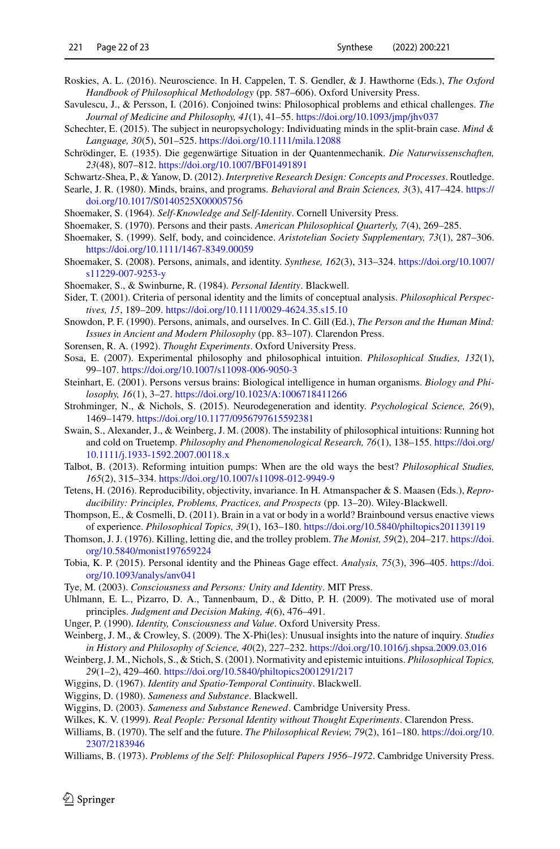- <span id="page-21-30"></span>Roskies, A. L. (2016). Neuroscience. In H. Cappelen, T. S. Gendler, & J. Hawthorne (Eds.), *The Oxford Handbook of Philosophical Methodology* (pp. 587–606). Oxford University Press.
- <span id="page-21-33"></span>Savulescu, J., & Persson, I. (2016). Conjoined twins: Philosophical problems and ethical challenges. *The Journal of Medicine and Philosophy, 41*(1), 41–55. <https://doi.org/10.1093/jmp/jhv037>
- <span id="page-21-32"></span>Schechter, E. (2015). The subject in neuropsychology: Individuating minds in the split-brain case. *Mind & Language, 30*(5), 501–525. <https://doi.org/10.1111/mila.12088>
- <span id="page-21-15"></span>Schrödinger, E. (1935). Die gegenwärtige Situation in der Quantenmechanik. *Die Naturwissenschaften, 23*(48), 807–812. <https://doi.org/10.1007/BF01491891>
- <span id="page-21-11"></span>Schwartz-Shea, P., & Yanow, D. (2012). *Interpretive Research Design: Concepts and Processes*. Routledge.
- <span id="page-21-24"></span>Sear[le, J. R. \(1980\). Minds, brains, and programs.](https://doi.org/10.1017/S0140525X00005756) *Behavioral and Brain Sciences, 3*(3), 417–424. https:// doi.org/10.1017/S0140525X00005756
- <span id="page-21-27"></span>Shoemaker, S. (1964). *Self-Knowledge and Self-Identity*. Cornell University Press.
- <span id="page-21-5"></span>Shoemaker, S. (1970). Persons and their pasts. *American Philosophical Quarterly, 7*(4), 269–285.
- <span id="page-21-6"></span>Shoemaker, S. (1999). Self, body, and coincidence. *Aristotelian Society Supplementary, 73*(1), 287–306. <https://doi.org/10.1111/1467-8349.00059>
- <span id="page-21-7"></span>Sho[emaker, S. \(2008\). Persons, animals, and identity.](https://doi.org/10.1007/s11229-007-9253-y) *Synthese, 162*(3), 313–324. https://doi.org/10.1007/ s11229-007-9253-y
- <span id="page-21-8"></span>Shoemaker, S., & Swinburne, R. (1984). *Personal Identity*. Blackwell.
- <span id="page-21-9"></span>Sider, T. (2001). Criteria of personal identity and the limits of conceptual analysis. *Philosophical Perspectives, 15*, 189–209. <https://doi.org/10.1111/0029-4624.35.s15.10>
- <span id="page-21-2"></span>Snowdon, P. F. (1990). Persons, animals, and ourselves. In C. Gill (Ed.), *The Person and the Human Mind: Issues in Ancient and Modern Philosophy* (pp. 83–107). Clarendon Press.
- <span id="page-21-0"></span>Sorensen, R. A. (1992). *Thought Experiments*. Oxford University Press.
- <span id="page-21-16"></span>Sosa, E. (2007). Experimental philosophy and philosophical intuition. *Philosophical Studies, 132*(1), 99–107. <https://doi.org/10.1007/s11098-006-9050-3>
- <span id="page-21-28"></span>Steinhart, E. (2001). Persons versus brains: Biological intelligence in human organisms. *Biology and Philosophy, 16*(1), 3–27. <https://doi.org/10.1023/A:1006718411266>
- <span id="page-21-19"></span>Strohminger, N., & Nichols, S. (2015). Neurodegeneration and identity. *Psychological Science, 26*(9), 1469–1479. <https://doi.org/10.1177/0956797615592381>
- <span id="page-21-22"></span>Swain, S., Alexander, J., & Weinberg, J. M. (2008). The instability of philosophical intuitions: Running hot and cold on Truetemp. *[Philosophy and Phenomenological Research, 76](https://doi.org/10.1111/j.1933-1592.2007.00118.x)*(1), 138–155. https://doi.org/ 10.1111/j.1933-1592.2007.00118.x
- <span id="page-21-10"></span>Talbot, B. (2013). Reforming intuition pumps: When are the old ways the best? *Philosophical Studies, 165*(2), 315–334. <https://doi.org/10.1007/s11098-012-9949-9>
- <span id="page-21-12"></span>Tetens, H. (2016). Reproducibility, objectivity, invariance. In H. Atmanspacher & S. Maasen (Eds.), *Reproducibility: Principles, Problems, Practices, and Prospects* (pp. 13–20). Wiley-Blackwell.
- <span id="page-21-26"></span>Thompson, E., & Cosmelli, D. (2011). Brain in a vat or body in a world? Brainbound versus enactive views of experience. *Philosophical Topics, 39*(1), 163–180. <https://doi.org/10.5840/philtopics201139119>
- <span id="page-21-13"></span>Tho[mson, J. J. \(1976\). Killing, letting die, and the trolley problem.](https://doi.org/10.5840/monist197659224) *The Monist, 59*(2), 204–217. https://doi. org/10.5840/monist197659224
- <span id="page-21-20"></span>Tobi[a, K. P. \(2015\). Personal identity and the Phineas Gage effect.](https://doi.org/10.1093/analys/anv041) *Analysis, 75*(3), 396–405. https://doi. org/10.1093/analys/anv041
- <span id="page-21-31"></span>Tye, M. (2003). *Consciousness and Persons: Unity and Identity*. MIT Press.
- <span id="page-21-23"></span>Uhlmann, E. L., Pizarro, D. A., Tannenbaum, D., & Ditto, P. H. (2009). The motivated use of moral principles. *Judgment and Decision Making, 4*(6), 476–491.
- <span id="page-21-25"></span>Unger, P. (1990). *Identity, Consciousness and Value*. Oxford University Press.
- <span id="page-21-18"></span>Weinberg, J. M., & Crowley, S. (2009). The X-Phi(les): Unusual insights into the nature of inquiry. *Studies in History and Philosophy of Science, 40*(2), 227–232. <https://doi.org/10.1016/j.shpsa.2009.03.016>
- <span id="page-21-21"></span>Weinberg, J. M., Nichols, S., & Stich, S. (2001). Normativity and epistemic intuitions. *Philosophical Topics, 29*(1–2), 429–460. <https://doi.org/10.5840/philtopics2001291/217>
- <span id="page-21-29"></span>Wiggins, D. (1967). *Identity and Spatio-Temporal Continuity*. Blackwell.
- <span id="page-21-3"></span>Wiggins, D. (1980). *Sameness and Substance*. Blackwell.
- <span id="page-21-4"></span>Wiggins, D. (2003). *Sameness and Substance Renewed*. Cambridge University Press.
- <span id="page-21-17"></span>Wilkes, K. V. (1999). *Real People: Personal Identity without Thought Experiments*. Clarendon Press.
- <span id="page-21-1"></span>Will[iams, B. \(1970\). The self and the future.](https://doi.org/10.2307/2183946) *The Philosophical Review, 79*(2), 161–180. https://doi.org/10. 2307/2183946
- <span id="page-21-14"></span>Williams, B. (1973). *Problems of the Self: Philosophical Papers 1956–1972*. Cambridge University Press.